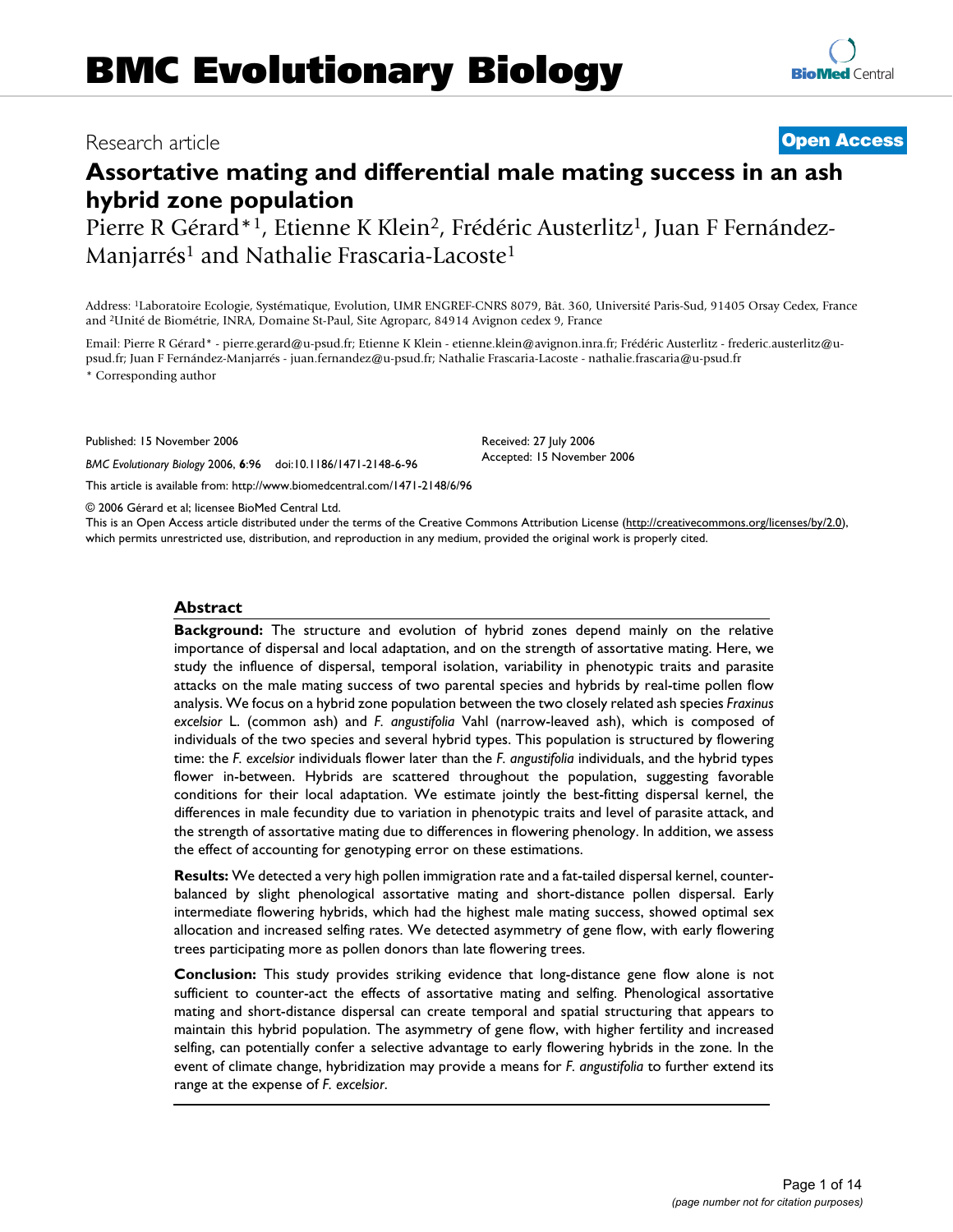# Research article **[Open Access](http://www.biomedcentral.com/info/about/charter/)**

# **Assortative mating and differential male mating success in an ash hybrid zone population**

Pierre R Gérard\*<sup>1</sup>, Etienne K Klein<sup>2</sup>, Frédéric Austerlitz<sup>1</sup>, Juan F Fernández-Manjarrés<sup>1</sup> and Nathalie Frascaria-Lacoste<sup>1</sup>

Address: 1Laboratoire Ecologie, Systématique, Evolution, UMR ENGREF-CNRS 8079, Bât. 360, Université Paris-Sud, 91405 Orsay Cedex, France and 2Unité de Biométrie, INRA, Domaine St-Paul, Site Agroparc, 84914 Avignon cedex 9, France

Email: Pierre R Gérard\* - pierre.gerard@u-psud.fr; Etienne K Klein - etienne.klein@avignon.inra.fr; Frédéric Austerlitz - frederic.austerlitz@upsud.fr; Juan F Fernández-Manjarrés - juan.fernandez@u-psud.fr; Nathalie Frascaria-Lacoste - nathalie.frascaria@u-psud.fr \* Corresponding author

Published: 15 November 2006

*BMC Evolutionary Biology* 2006, **6**:96 doi:10.1186/1471-2148-6-96

[This article is available from: http://www.biomedcentral.com/1471-2148/6/96](http://www.biomedcentral.com/1471-2148/6/96)

© 2006 Gérard et al; licensee BioMed Central Ltd.

This is an Open Access article distributed under the terms of the Creative Commons Attribution License [\(http://creativecommons.org/licenses/by/2.0\)](http://creativecommons.org/licenses/by/2.0), which permits unrestricted use, distribution, and reproduction in any medium, provided the original work is properly cited.

Received: 27 July 2006 Accepted: 15 November 2006

# **Abstract**

**Background:** The structure and evolution of hybrid zones depend mainly on the relative importance of dispersal and local adaptation, and on the strength of assortative mating. Here, we study the influence of dispersal, temporal isolation, variability in phenotypic traits and parasite attacks on the male mating success of two parental species and hybrids by real-time pollen flow analysis. We focus on a hybrid zone population between the two closely related ash species *Fraxinus excelsior* L. (common ash) and *F. angustifolia* Vahl (narrow-leaved ash), which is composed of individuals of the two species and several hybrid types. This population is structured by flowering time: the *F. excelsior* individuals flower later than the *F. angustifolia* individuals, and the hybrid types flower in-between. Hybrids are scattered throughout the population, suggesting favorable conditions for their local adaptation. We estimate jointly the best-fitting dispersal kernel, the differences in male fecundity due to variation in phenotypic traits and level of parasite attack, and the strength of assortative mating due to differences in flowering phenology. In addition, we assess the effect of accounting for genotyping error on these estimations.

**Results:** We detected a very high pollen immigration rate and a fat-tailed dispersal kernel, counterbalanced by slight phenological assortative mating and short-distance pollen dispersal. Early intermediate flowering hybrids, which had the highest male mating success, showed optimal sex allocation and increased selfing rates. We detected asymmetry of gene flow, with early flowering trees participating more as pollen donors than late flowering trees.

**Conclusion:** This study provides striking evidence that long-distance gene flow alone is not sufficient to counter-act the effects of assortative mating and selfing. Phenological assortative mating and short-distance dispersal can create temporal and spatial structuring that appears to maintain this hybrid population. The asymmetry of gene flow, with higher fertility and increased selfing, can potentially confer a selective advantage to early flowering hybrids in the zone. In the event of climate change, hybridization may provide a means for *F. angustifolia* to further extend its range at the expense of *F. excelsior*.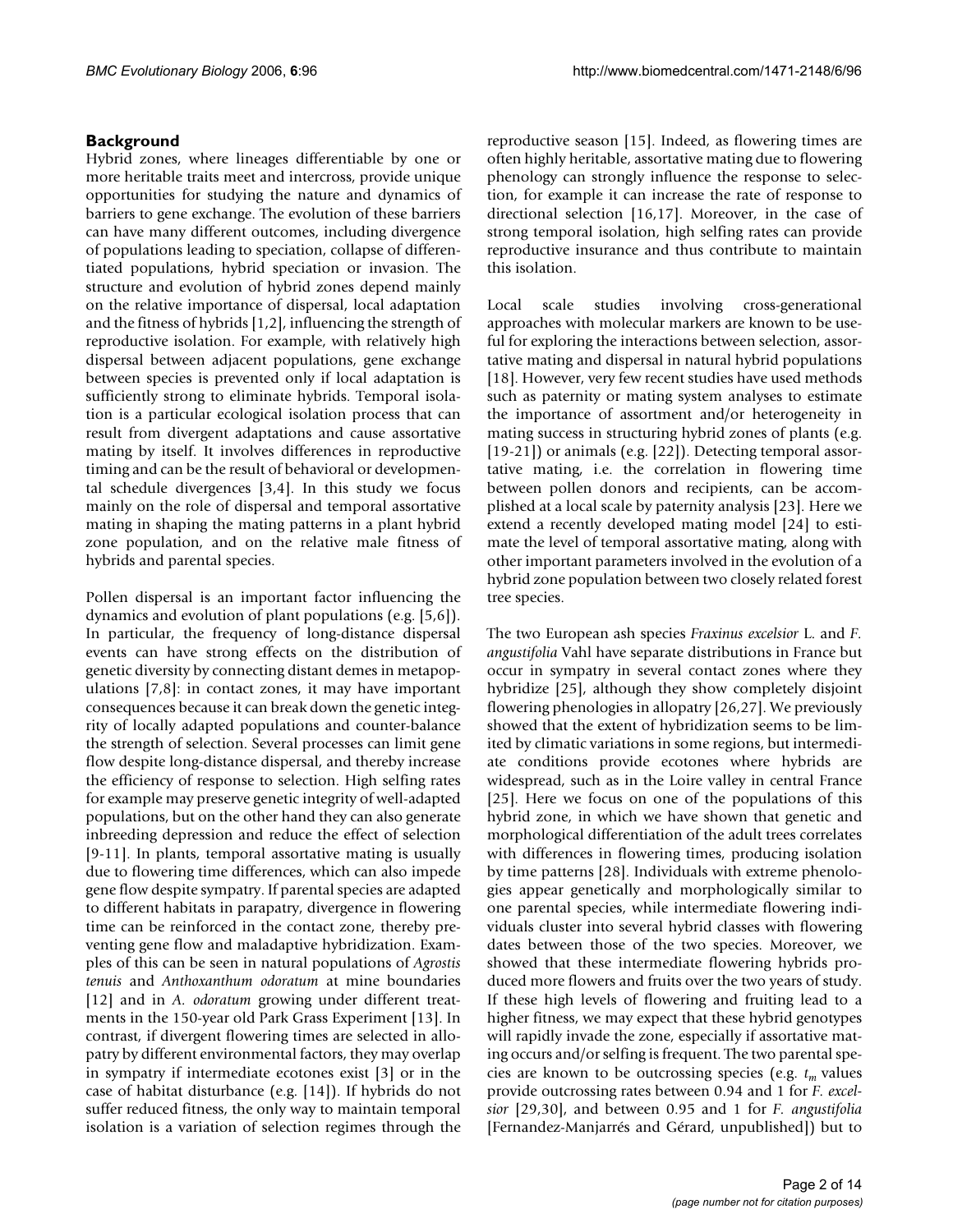# **Background**

Hybrid zones, where lineages differentiable by one or more heritable traits meet and intercross, provide unique opportunities for studying the nature and dynamics of barriers to gene exchange. The evolution of these barriers can have many different outcomes, including divergence of populations leading to speciation, collapse of differentiated populations, hybrid speciation or invasion. The structure and evolution of hybrid zones depend mainly on the relative importance of dispersal, local adaptation and the fitness of hybrids [1,2], influencing the strength of reproductive isolation. For example, with relatively high dispersal between adjacent populations, gene exchange between species is prevented only if local adaptation is sufficiently strong to eliminate hybrids. Temporal isolation is a particular ecological isolation process that can result from divergent adaptations and cause assortative mating by itself. It involves differences in reproductive timing and can be the result of behavioral or developmental schedule divergences [3,4]. In this study we focus mainly on the role of dispersal and temporal assortative mating in shaping the mating patterns in a plant hybrid zone population, and on the relative male fitness of hybrids and parental species.

Pollen dispersal is an important factor influencing the dynamics and evolution of plant populations (e.g. [5,6]). In particular, the frequency of long-distance dispersal events can have strong effects on the distribution of genetic diversity by connecting distant demes in metapopulations [7,8]: in contact zones, it may have important consequences because it can break down the genetic integrity of locally adapted populations and counter-balance the strength of selection. Several processes can limit gene flow despite long-distance dispersal, and thereby increase the efficiency of response to selection. High selfing rates for example may preserve genetic integrity of well-adapted populations, but on the other hand they can also generate inbreeding depression and reduce the effect of selection [9-11]. In plants, temporal assortative mating is usually due to flowering time differences, which can also impede gene flow despite sympatry. If parental species are adapted to different habitats in parapatry, divergence in flowering time can be reinforced in the contact zone, thereby preventing gene flow and maladaptive hybridization. Examples of this can be seen in natural populations of *Agrostis tenuis* and *Anthoxanthum odoratum* at mine boundaries [12] and in *A. odoratum* growing under different treatments in the 150-year old Park Grass Experiment [13]. In contrast, if divergent flowering times are selected in allopatry by different environmental factors, they may overlap in sympatry if intermediate ecotones exist [3] or in the case of habitat disturbance (e.g. [14]). If hybrids do not suffer reduced fitness, the only way to maintain temporal isolation is a variation of selection regimes through the reproductive season [15]. Indeed, as flowering times are often highly heritable, assortative mating due to flowering phenology can strongly influence the response to selection, for example it can increase the rate of response to directional selection [16,17]. Moreover, in the case of strong temporal isolation, high selfing rates can provide reproductive insurance and thus contribute to maintain this isolation.

Local scale studies involving cross-generational approaches with molecular markers are known to be useful for exploring the interactions between selection, assortative mating and dispersal in natural hybrid populations [18]. However, very few recent studies have used methods such as paternity or mating system analyses to estimate the importance of assortment and/or heterogeneity in mating success in structuring hybrid zones of plants (e.g. [19-21]) or animals (e.g. [22]). Detecting temporal assortative mating, i.e. the correlation in flowering time between pollen donors and recipients, can be accomplished at a local scale by paternity analysis [23]. Here we extend a recently developed mating model [24] to estimate the level of temporal assortative mating, along with other important parameters involved in the evolution of a hybrid zone population between two closely related forest tree species.

The two European ash species *Fraxinus excelsior* L. and *F. angustifolia* Vahl have separate distributions in France but occur in sympatry in several contact zones where they hybridize [25], although they show completely disjoint flowering phenologies in allopatry [26,27]. We previously showed that the extent of hybridization seems to be limited by climatic variations in some regions, but intermediate conditions provide ecotones where hybrids are widespread, such as in the Loire valley in central France [25]. Here we focus on one of the populations of this hybrid zone, in which we have shown that genetic and morphological differentiation of the adult trees correlates with differences in flowering times, producing isolation by time patterns [28]. Individuals with extreme phenologies appear genetically and morphologically similar to one parental species, while intermediate flowering individuals cluster into several hybrid classes with flowering dates between those of the two species. Moreover, we showed that these intermediate flowering hybrids produced more flowers and fruits over the two years of study. If these high levels of flowering and fruiting lead to a higher fitness, we may expect that these hybrid genotypes will rapidly invade the zone, especially if assortative mating occurs and/or selfing is frequent. The two parental species are known to be outcrossing species (e.g.  $t_m$  values provide outcrossing rates between 0.94 and 1 for *F. excelsior* [29,30], and between 0.95 and 1 for *F. angustifolia* [Fernandez-Manjarrés and Gérard, unpublished]) but to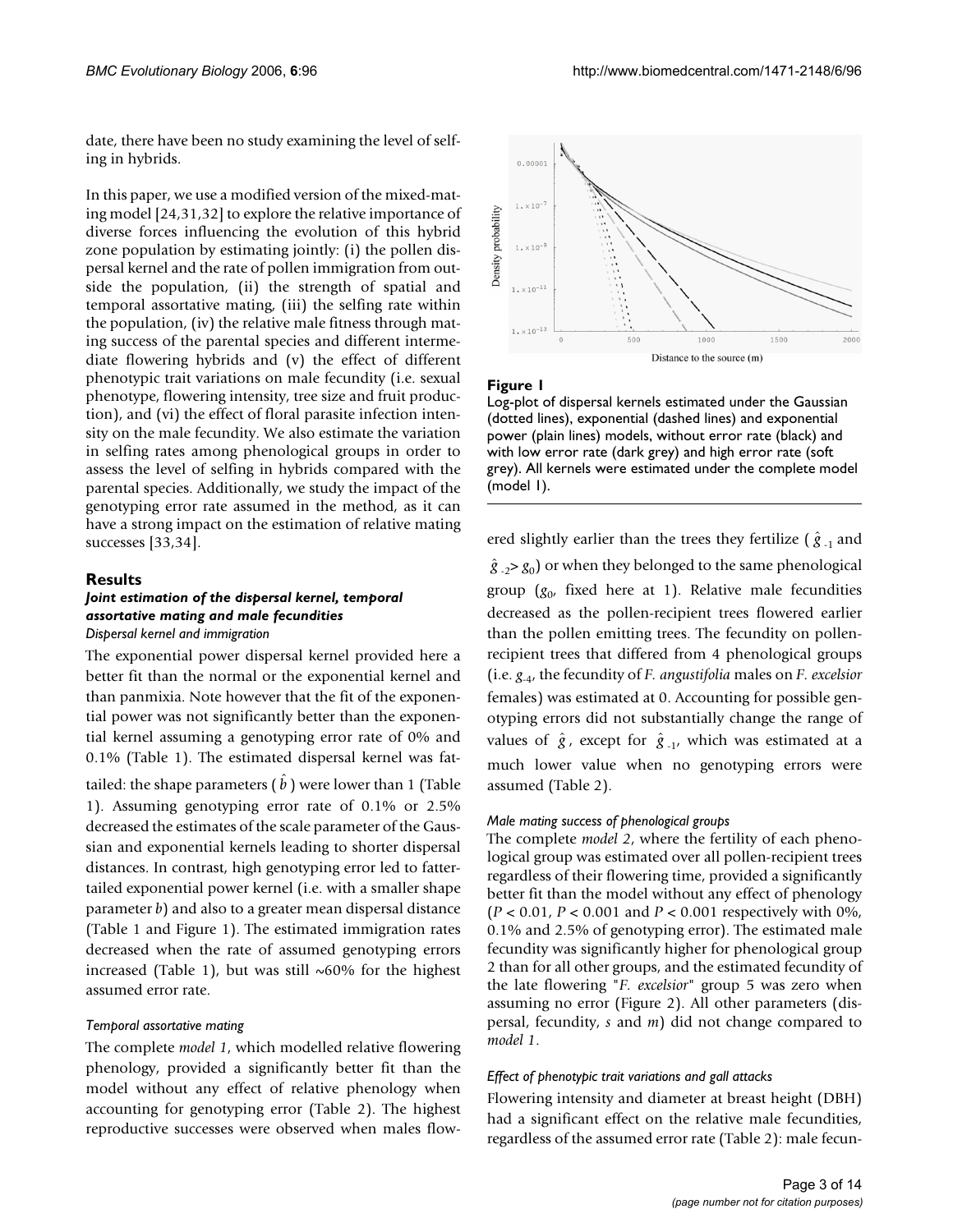date, there have been no study examining the level of selfing in hybrids.

In this paper, we use a modified version of the mixed-mating model [24,31,32] to explore the relative importance of diverse forces influencing the evolution of this hybrid zone population by estimating jointly: (i) the pollen dispersal kernel and the rate of pollen immigration from outside the population, (ii) the strength of spatial and temporal assortative mating, (iii) the selfing rate within the population, (iv) the relative male fitness through mating success of the parental species and different intermediate flowering hybrids and (v) the effect of different phenotypic trait variations on male fecundity (i.e. sexual phenotype, flowering intensity, tree size and fruit production), and (vi) the effect of floral parasite infection intensity on the male fecundity. We also estimate the variation in selfing rates among phenological groups in order to assess the level of selfing in hybrids compared with the parental species. Additionally, we study the impact of the genotyping error rate assumed in the method, as it can have a strong impact on the estimation of relative mating successes [33,34].

# **Results**

# *Joint estimation of the dispersal kernel, temporal assortative mating and male fecundities Dispersal kernel and immigration*

The exponential power dispersal kernel provided here a better fit than the normal or the exponential kernel and than panmixia. Note however that the fit of the exponential power was not significantly better than the exponential kernel assuming a genotyping error rate of 0% and 0.1% (Table 1). The estimated dispersal kernel was fat-

tailed: the shape parameters (  $\hat{b}$  ) were lower than 1 (Table 1). Assuming genotyping error rate of 0.1% or 2.5% decreased the estimates of the scale parameter of the Gaussian and exponential kernels leading to shorter dispersal distances. In contrast, high genotyping error led to fattertailed exponential power kernel (i.e. with a smaller shape parameter *b*) and also to a greater mean dispersal distance (Table 1 and Figure 1). The estimated immigration rates decreased when the rate of assumed genotyping errors increased (Table 1), but was still  $~60\%$  for the highest assumed error rate.

#### *Temporal assortative mating*

The complete *model 1*, which modelled relative flowering phenology, provided a significantly better fit than the model without any effect of relative phenology when accounting for genotyping error (Table 2). The highest reproductive successes were observed when males flow-



#### Figure I

Log-plot of dispersal kernels estimated under the Gaussian (dotted lines), exponential (dashed lines) and exponential power (plain lines) models, without error rate (black) and with low error rate (dark grey) and high error rate (soft grey). All kernels were estimated under the complete model (model 1).

ered slightly earlier than the trees they fertilize ( $\hat{g}_{-1}$  and  $\hat{g}_{-2}$ >  $g_0$ ) or when they belonged to the same phenological group (*g*0, fixed here at 1). Relative male fecundities decreased as the pollen-recipient trees flowered earlier than the pollen emitting trees. The fecundity on pollenrecipient trees that differed from 4 phenological groups (i.e. *g*-4, the fecundity of *F. angustifolia* males on *F. excelsior* females) was estimated at 0. Accounting for possible genotyping errors did not substantially change the range of values of  $\hat{g}$ , except for  $\hat{g}$ <sub>-1</sub>, which was estimated at a much lower value when no genotyping errors were assumed (Table 2).

#### *Male mating success of phenological groups*

The complete *model 2*, where the fertility of each phenological group was estimated over all pollen-recipient trees regardless of their flowering time, provided a significantly better fit than the model without any effect of phenology (*P* < 0.01, *P* < 0.001 and *P* < 0.001 respectively with 0%, 0.1% and 2.5% of genotyping error). The estimated male fecundity was significantly higher for phenological group 2 than for all other groups, and the estimated fecundity of the late flowering "*F. excelsior*" group 5 was zero when assuming no error (Figure 2). All other parameters (dispersal, fecundity, *s* and *m*) did not change compared to *model 1*.

#### *Effect of phenotypic trait variations and gall attacks*

Flowering intensity and diameter at breast height (DBH) had a significant effect on the relative male fecundities, regardless of the assumed error rate (Table 2): male fecun-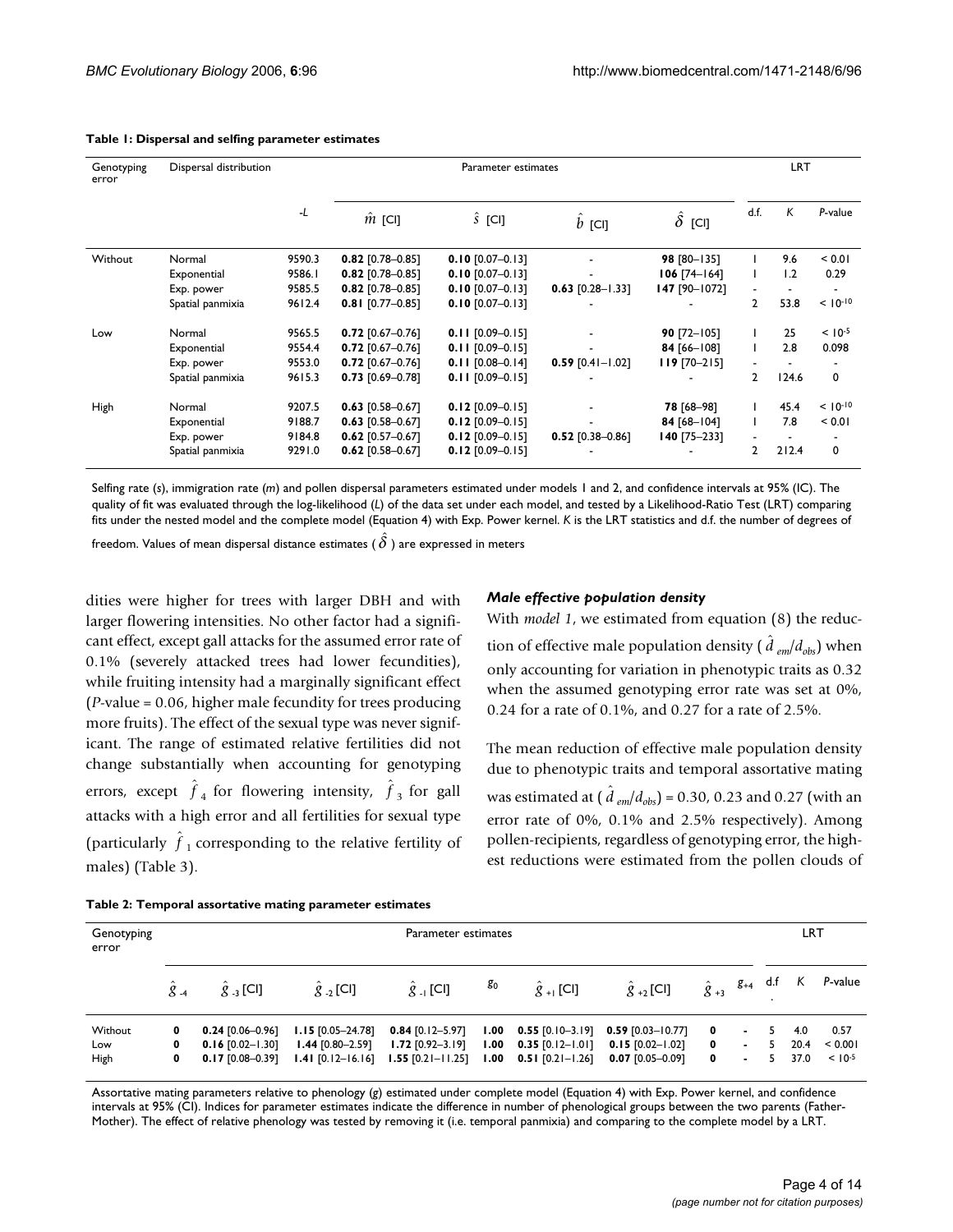| Genotyping<br>error | Dispersal distribution | Parameter estimates |                    |                    |                    |                     |                          |       | <b>LRT</b>     |  |  |
|---------------------|------------------------|---------------------|--------------------|--------------------|--------------------|---------------------|--------------------------|-------|----------------|--|--|
|                     |                        | -L                  | $\hat{m}$ [CI]     | $\hat{s}$ [CI]     | $b$ [CI]           | $\hat{\delta}$ [CI] | d.f.                     | K     | P-value        |  |  |
| Without             | Normal                 | 9590.3              | $0.82$ [0.78-0.85] | $0.10$ [0.07-0.13] |                    | 98 [80-135]         |                          | 9.6   | < 0.01         |  |  |
|                     | Exponential            | 9586.1              | $0.82$ [0.78-0.85] | $0.10$ [0.07-0.13] |                    | $106$ [74-164]      |                          | 1.2   | 0.29           |  |  |
|                     | Exp. power             | 9585.5              | $0.82$ [0.78-0.85] | $0.10$ [0.07-0.13] | $0.63$ [0.28-1.33] | 147 [90-1072]       | $\overline{\phantom{a}}$ |       | $\blacksquare$ |  |  |
|                     | Spatial panmixia       | 9612.4              | $0.81$ [0.77-0.85] | $0.10$ [0.07-0.13] |                    |                     | $\overline{2}$           | 53.8  | $< 10^{-10}$   |  |  |
| Low                 | Normal                 | 9565.5              | $0.72$ [0.67-0.76] | $0.11$ [0.09-0.15] |                    | $90$ [72-105]       |                          | 25    | $< 10^{-5}$    |  |  |
|                     | Exponential            | 9554.4              | $0.72$ [0.67-0.76] | $0.11$ [0.09-0.15] |                    | 84 [66-108]         |                          | 2.8   | 0.098          |  |  |
|                     | Exp. power             | 9553.0              | $0.72$ [0.67-0.76] | $0.11$ [0.08-0.14] | $0.59$ [0.41-1.02] | $119$ [70-215]      | $\overline{\phantom{0}}$ |       |                |  |  |
|                     | Spatial panmixia       | 9615.3              | $0.73$ [0.69-0.78] | $0.11$ [0.09-0.15] |                    |                     | $\overline{2}$           | 124.6 | 0              |  |  |
| High                | Normal                 | 9207.5              | $0.63$ [0.58-0.67] | $0.12$ [0.09-0.15] |                    | 78 [68-98]          |                          | 45.4  | $< 10^{-10}$   |  |  |
|                     | Exponential            | 9188.7              | $0.63$ [0.58-0.67] | $0.12$ [0.09-0.15] |                    | 84 [68-104]         |                          | 7.8   | < 0.01         |  |  |
|                     | Exp. power             | 9184.8              | $0.62$ [0.57-0.67] | $0.12$ [0.09-0.15] | $0.52$ [0.38-0.86] | $140$ [75-233]      | $\blacksquare$           |       |                |  |  |
|                     | Spatial panmixia       | 9291.0              | $0.62$ [0.58-0.67] | $0.12$ [0.09-0.15] |                    |                     | $\overline{2}$           | 212.4 | 0              |  |  |

#### **Table 1: Dispersal and selfing parameter estimates**

Selfing rate (*s*), immigration rate (*m*) and pollen dispersal parameters estimated under models 1 and 2, and confidence intervals at 95% (IC). The quality of fit was evaluated through the log-likelihood (*L*) of the data set under each model, and tested by a Likelihood-Ratio Test (LRT) comparing fits under the nested model and the complete model (Equation 4) with Exp. Power kernel. *K* is the LRT statistics and d.f. the number of degrees of

freedom. Values of mean dispersal distance estimates (  $\hat{\delta}$  ) are expressed in meters

dities were higher for trees with larger DBH and with larger flowering intensities. No other factor had a significant effect, except gall attacks for the assumed error rate of 0.1% (severely attacked trees had lower fecundities), while fruiting intensity had a marginally significant effect (*P*-value = 0.06, higher male fecundity for trees producing more fruits). The effect of the sexual type was never significant. The range of estimated relative fertilities did not change substantially when accounting for genotyping errors, except  $\hat{f}_4$  for flowering intensity,  $\hat{f}_3$  for gall attacks with a high error and all fertilities for sexual type (particularly  $\hat{f}_1$  corresponding to the relative fertility of males) (Table 3).

#### *Male effective population density*

With *model 1*, we estimated from equation (8) the reduction of effective male population density (  $\hat{d}$  <sub>em</sub>/ $d_{obs}$ ) when only accounting for variation in phenotypic traits as 0.32 when the assumed genotyping error rate was set at 0%, 0.24 for a rate of 0.1%, and 0.27 for a rate of 2.5%.

The mean reduction of effective male population density due to phenotypic traits and temporal assortative mating was estimated at (  $\hat{d}_{em}/d_{obs}$ ) = 0.30, 0.23 and 0.27 (with an error rate of 0%, 0.1% and 2.5% respectively). Among pollen-recipients, regardless of genotyping error, the highest reductions were estimated from the pollen clouds of

|  |  | Table 2: Temporal assortative mating parameter estimates |
|--|--|----------------------------------------------------------|
|--|--|----------------------------------------------------------|

| Genotyping<br>error    |             |                                                                |                                           | Parameter estimates                                                                     |    |                                                        |                                                                                       |                       |                |                | LRT                 |                                |
|------------------------|-------------|----------------------------------------------------------------|-------------------------------------------|-----------------------------------------------------------------------------------------|----|--------------------------------------------------------|---------------------------------------------------------------------------------------|-----------------------|----------------|----------------|---------------------|--------------------------------|
|                        | $g_{4}$     | $\tilde{g}_{-3}$ [CI]                                          | $\hat{g}_{-2}$ [CI]                       | $\tilde{g}$ [CI]                                                                        | go | $\hat{g}_{+1}$ [CI]                                    | $\hat{g}_{+2}$ [CI]                                                                   | $\hat{g}_{+3}$        | $g_{+4}$ d.f   |                | К                   | P-value                        |
| Without<br>Low<br>High | 0<br>0<br>0 | $0.24$ [0.06-0.96]<br>$0.16$ [0.02-1.30]<br>$0.17$ [0.08-0.39] | $1.15$ [0.05-24.78]<br>$1.44$ [0.80-2.59] | $0.84$ [0.12-5.97]<br>$1.72$ [0.92-3.19]<br>1.41 $[0.12 - 16.16]$ 1.55 $[0.21 - 11.25]$ |    | $1.00$ 0.35 [0.12-1.01]<br>$1.00$ 0.51 $[0.21 - 1.26]$ | $1.00$ 0.55 [0.10-3.19] 0.59 [0.03-10.77]<br>$0.15$ [0.02-1.02]<br>$0.07$ [0.05-0.09] | $\mathbf 0$<br>0<br>0 | ۰.<br>۰.<br>۰. | 5.<br>5.<br>5. | 4.0<br>20.4<br>37.0 | 0.57<br>< 0.001<br>$< 10^{-5}$ |

Assortative mating parameters relative to phenology (*g*) estimated under complete model (Equation 4) with Exp. Power kernel, and confidence intervals at 95% (CI). Indices for parameter estimates indicate the difference in number of phenological groups between the two parents (Father-Mother). The effect of relative phenology was tested by removing it (i.e. temporal panmixia) and comparing to the complete model by a LRT.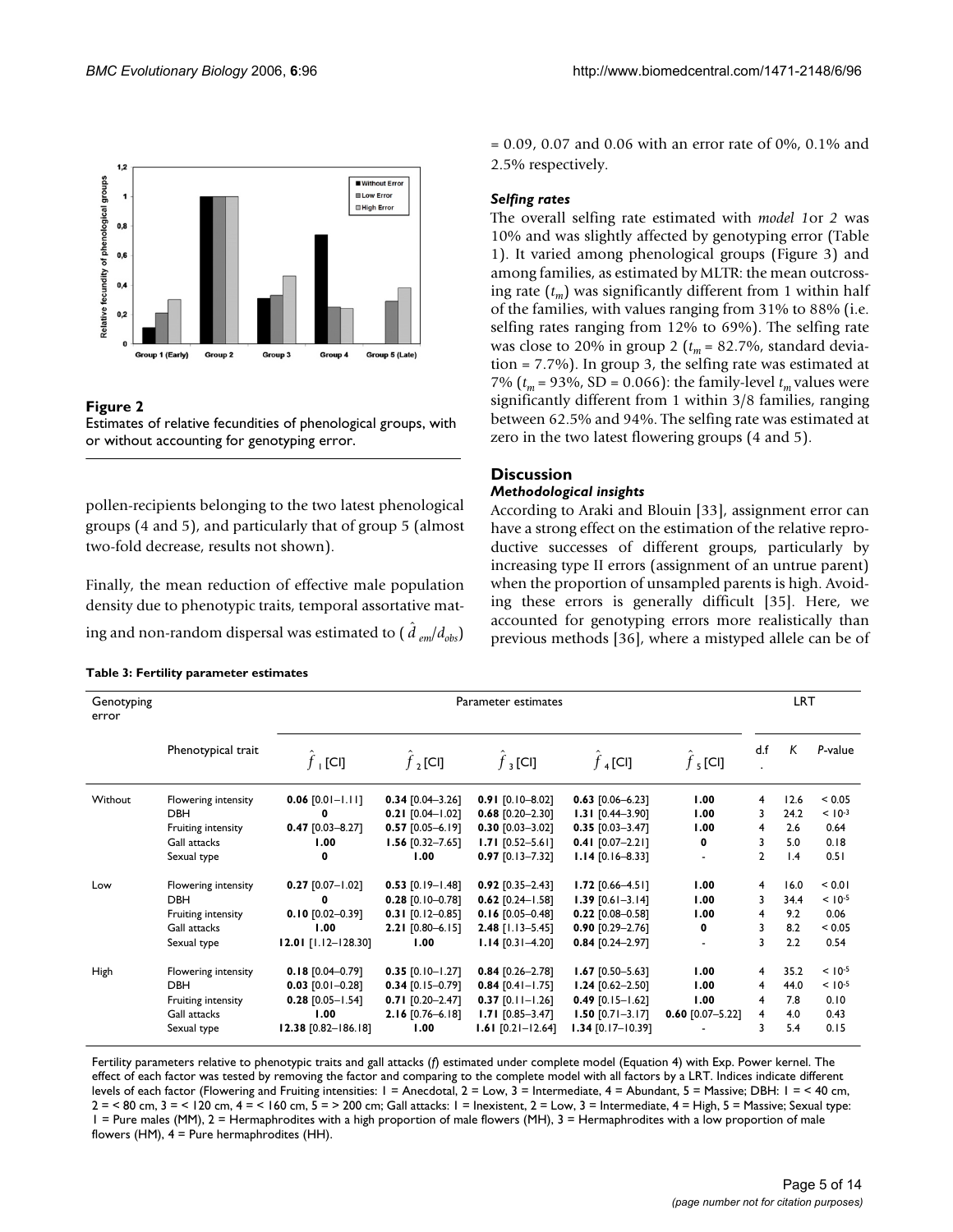

# Figure 2

Estimates of relative fecundities of phenological groups, with or without accounting for genotyping error.

pollen-recipients belonging to the two latest phenological groups (4 and 5), and particularly that of group 5 (almost two-fold decrease, results not shown).

Finally, the mean reduction of effective male population density due to phenotypic traits, temporal assortative mating and non-random dispersal was estimated to (  $d$   $_{em}/d_{obs}$ )

= 0.09, 0.07 and 0.06 with an error rate of 0%, 0.1% and 2.5% respectively.

# *Selfing rates*

The overall selfing rate estimated with *model 1*or *2* was 10% and was slightly affected by genotyping error (Table 1). It varied among phenological groups (Figure 3) and among families, as estimated by MLTR: the mean outcrossing rate  $(t_m)$  was significantly different from 1 within half of the families, with values ranging from 31% to 88% (i.e. selfing rates ranging from 12% to 69%). The selfing rate was close to 20% in group 2 ( $t_m$  = 82.7%, standard deviation = 7.7%). In group 3, the selfing rate was estimated at 7% ( $t_m$  = 93%, SD = 0.066): the family-level  $t_m$  values were significantly different from 1 within 3/8 families, ranging between 62.5% and 94%. The selfing rate was estimated at zero in the two latest flowering groups (4 and 5).

# **Discussion**

# *Methodological insights*

According to Araki and Blouin [33], assignment error can have a strong effect on the estimation of the relative reproductive successes of different groups, particularly by increasing type II errors (assignment of an untrue parent) when the proportion of unsampled parents is high. Avoiding these errors is generally difficult [35]. Here, we accounted for genotyping errors more realistically than previous methods [36], where a mistyped allele can be of

| Genotyping<br>error |                     |                       |                    | Parameter estimates |                        |                       |              | <b>LRT</b> |             |  |
|---------------------|---------------------|-----------------------|--------------------|---------------------|------------------------|-----------------------|--------------|------------|-------------|--|
|                     | Phenotypical trait  | $f_{\perp}$ [CI]      | $\hat{f}_2$ [CI]   | $\hat{f}_3$ [CI]    | $\hat{f}_4$ [CI]       | $f$ <sub>5</sub> [CI] | df           | K          | P-value     |  |
| Without             | Flowering intensity | $0.06$ [0.01-1.11]    | $0.34$ [0.04-3.26] | $0.91$ [0.10-8.02]  | $0.63$ [0.06-6.23]     | 1.00                  | 4            | 12.6       | < 0.05      |  |
|                     | <b>DBH</b>          | 0                     | $0.21$ [0.04-1.02] | $0.68$ [0.20-2.30]  | $1.31$ $[0.44 - 3.90]$ | 1.00                  | 3            | 24.2       | $< 10^{-3}$ |  |
|                     | Fruiting intensity  | $0.47$ [0.03-8.27]    | $0.57$ [0.05-6.19] | $0.30$ [0.03-3.02]  | $0.35$ [0.03-3.47]     | 1.00                  | 4            | 2.6        | 0.64        |  |
|                     | Gall attacks        | 1.00                  | $1.56$ [0.32-7.65] | $1.71$ [0.52-5.61]  | $0.41$ [0.07-2.21]     | 0                     | 3            | 5.0        | 0.18        |  |
|                     | Sexual type         | 0                     | 1.00               | $0.97$ [0.13-7.32]  | $1.14$ [0.16-8.33]     |                       | $\mathbf{2}$ | 1.4        | 0.51        |  |
| Low                 | Flowering intensity | $0.27$ [0.07-1.02]    | $0.53$ [0.19-1.48] | $0.92$ [0.35-2.43]  | $1.72$ [0.66-4.51]     | 1.00                  | 4            | 16.0       | < 0.01      |  |
|                     | <b>DBH</b>          | 0                     | $0.28$ [0.10-0.78] | $0.62$ [0.24-1.58]  | $1.39$ [0.61-3.14]     | 1.00                  | 3            | 34.4       | $< 10^{-5}$ |  |
|                     | Fruiting intensity  | $0.10$ [0.02-0.39]    | $0.31$ [0.12-0.85] | $0.16$ [0.05-0.48]  | $0.22$ [0.08-0.58]     | 1.00                  | 4            | 9.2        | 0.06        |  |
|                     | Gall attacks        | 1.00                  | $2.21$ [0.80-6.15] | $2.48$ [1.13-5.45]  | $0.90$ [0.29-2.76]     | 0                     | 3            | 8.2        | < 0.05      |  |
|                     | Sexual type         | $12.01$ [1.12-128.30] | 1.00               | $1.14$ [0.31-4.20]  | $0.84$ [0.24-2.97]     |                       | 3            | 2.2        | 0.54        |  |
| High                | Flowering intensity | $0.18$ [0.04-0.79]    | $0.35$ [0.10-1.27] | $0.84$ [0.26-2.78]  | $1.67$ [0.50-5.63]     | 1.00                  | 4            | 35.2       | $< 10^{-5}$ |  |
|                     | <b>DBH</b>          | $0.03$ [0.01-0.28]    | $0.34$ [0.15-0.79] | $0.84$ [0.41-1.75]  | $1.24$ [0.62-2.50]     | 1.00                  | 4            | 44.0       | $< 10^{-5}$ |  |
|                     | Fruiting intensity  | $0.28$ [0.05-1.54]    | $0.71$ [0.20-2.47] | $0.37$ [0.11-1.26]  | $0.49$ [0.15-1.62]     | 1.00                  | 4            | 7.8        | 0.10        |  |
|                     | Gall attacks        | 1.00                  | $2.16$ [0.76-6.18] | $1.71$ [0.85-3.47]  | $1.50$ [0.71-3.17]     | $0.60$ [0.07-5.22]    | 4            | 4.0        | 0.43        |  |
|                     | Sexual type         | $12.38$ [0.82-186.18] | 1.00               | $1.61$ [0.21-12.64] | $1.34$ [0.17-10.39]    |                       | 3            | 5.4        | 0.15        |  |

Fertility parameters relative to phenotypic traits and gall attacks (*f*) estimated under complete model (Equation 4) with Exp. Power kernel. The effect of each factor was tested by removing the factor and comparing to the complete model with all factors by a LRT. Indices indicate different levels of each factor (Flowering and Fruiting intensities: 1 = Anecdotal, 2 = Low, 3 = Intermediate, 4 = Abundant, 5 = Massive; DBH: 1 = < 40 cm,  $2 = 80$  cm,  $3 = 120$  cm,  $4 = 160$  cm,  $5 = 200$  cm; Gall attacks: 1 = Inexistent,  $2 =$  Low,  $3 =$  Intermediate,  $4 =$  High,  $5 =$  Massive; Sexual type: 1 = Pure males (MM), 2 = Hermaphrodites with a high proportion of male flowers (MH), 3 = Hermaphrodites with a low proportion of male flowers (HM), 4 = Pure hermaphrodites (HH).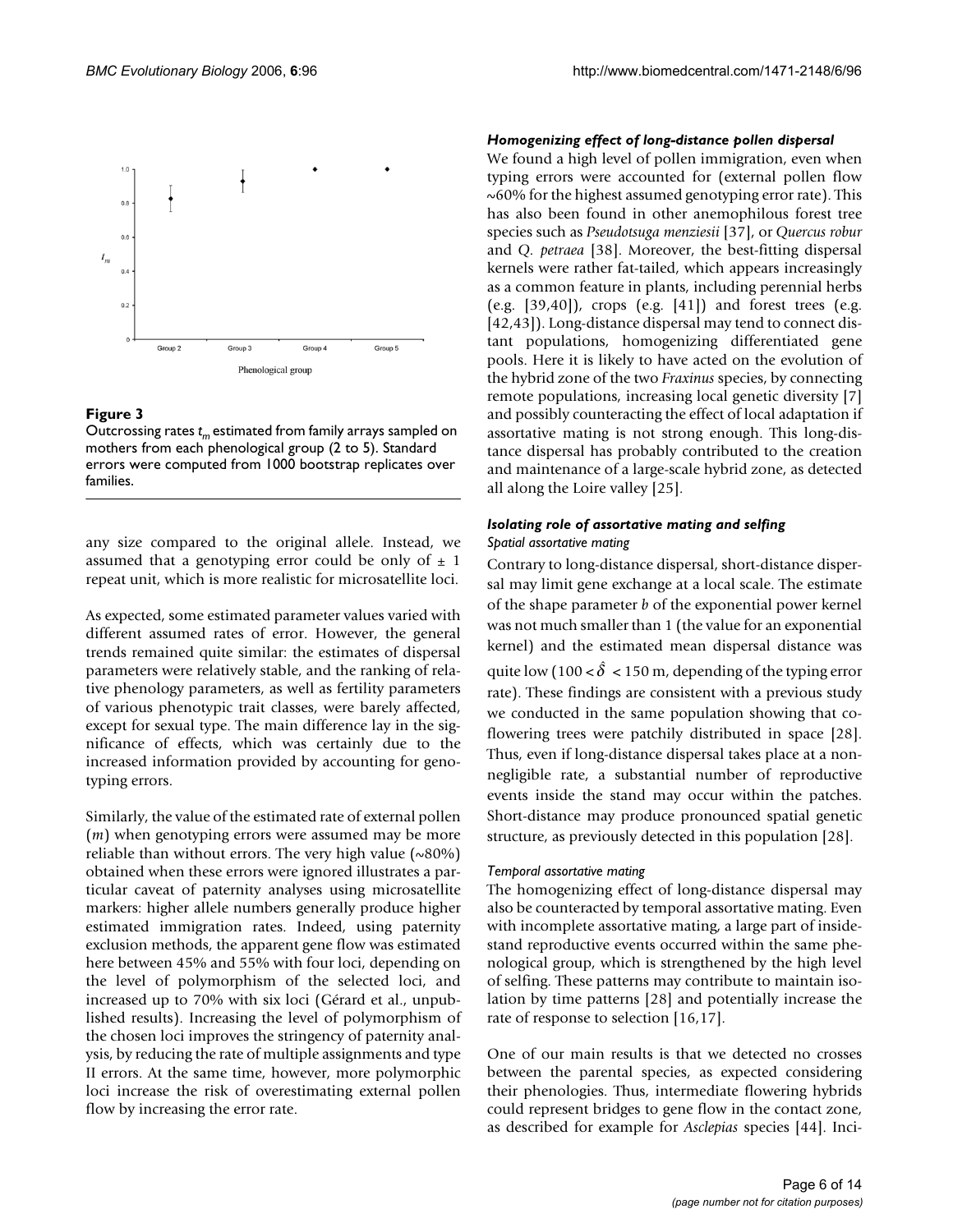

# Outcrossing rates *tm* mothers from each phenological group (2 to 5) **Figure 3** estimated from family arrays sampled on

Outcrossing rates  $t_m$  estimated from family arrays sampled on mothers from each phenological group (2 to 5). Standard errors were computed from 1000 bootstrap replicates over families.

any size compared to the original allele. Instead, we assumed that a genotyping error could be only of  $\pm$  1 repeat unit, which is more realistic for microsatellite loci.

As expected, some estimated parameter values varied with different assumed rates of error. However, the general trends remained quite similar: the estimates of dispersal parameters were relatively stable, and the ranking of relative phenology parameters, as well as fertility parameters of various phenotypic trait classes, were barely affected, except for sexual type. The main difference lay in the significance of effects, which was certainly due to the increased information provided by accounting for genotyping errors.

Similarly, the value of the estimated rate of external pollen (*m*) when genotyping errors were assumed may be more reliable than without errors. The very high value  $(\sim80\%)$ obtained when these errors were ignored illustrates a particular caveat of paternity analyses using microsatellite markers: higher allele numbers generally produce higher estimated immigration rates. Indeed, using paternity exclusion methods, the apparent gene flow was estimated here between 45% and 55% with four loci, depending on the level of polymorphism of the selected loci, and increased up to 70% with six loci (Gérard et al., unpublished results). Increasing the level of polymorphism of the chosen loci improves the stringency of paternity analysis, by reducing the rate of multiple assignments and type II errors. At the same time, however, more polymorphic loci increase the risk of overestimating external pollen flow by increasing the error rate.

# *Homogenizing effect of long-distance pollen dispersal*

We found a high level of pollen immigration, even when typing errors were accounted for (external pollen flow ~60% for the highest assumed genotyping error rate). This has also been found in other anemophilous forest tree species such as *Pseudotsuga menziesii* [37], or *Quercus robur* and *Q. petraea* [38]. Moreover, the best-fitting dispersal kernels were rather fat-tailed, which appears increasingly as a common feature in plants, including perennial herbs (e.g. [39,40]), crops (e.g. [41]) and forest trees (e.g. [42,43]). Long-distance dispersal may tend to connect distant populations, homogenizing differentiated gene pools. Here it is likely to have acted on the evolution of the hybrid zone of the two *Fraxinus* species, by connecting remote populations, increasing local genetic diversity [7] and possibly counteracting the effect of local adaptation if assortative mating is not strong enough. This long-distance dispersal has probably contributed to the creation and maintenance of a large-scale hybrid zone, as detected all along the Loire valley [25].

# *Isolating role of assortative mating and selfing Spatial assortative mating*

Contrary to long-distance dispersal, short-distance dispersal may limit gene exchange at a local scale. The estimate of the shape parameter *b* of the exponential power kernel was not much smaller than 1 (the value for an exponential kernel) and the estimated mean dispersal distance was quite low (100 <  $\hat{\delta}\,$  < 150 m, depending of the typing error rate). These findings are consistent with a previous study we conducted in the same population showing that coflowering trees were patchily distributed in space [28]. Thus, even if long-distance dispersal takes place at a nonnegligible rate, a substantial number of reproductive events inside the stand may occur within the patches. Short-distance may produce pronounced spatial genetic structure, as previously detected in this population [28].

# *Temporal assortative mating*

The homogenizing effect of long-distance dispersal may also be counteracted by temporal assortative mating. Even with incomplete assortative mating, a large part of insidestand reproductive events occurred within the same phenological group, which is strengthened by the high level of selfing. These patterns may contribute to maintain isolation by time patterns [28] and potentially increase the rate of response to selection [16,17].

One of our main results is that we detected no crosses between the parental species, as expected considering their phenologies. Thus, intermediate flowering hybrids could represent bridges to gene flow in the contact zone, as described for example for *Asclepias* species [44]. Inci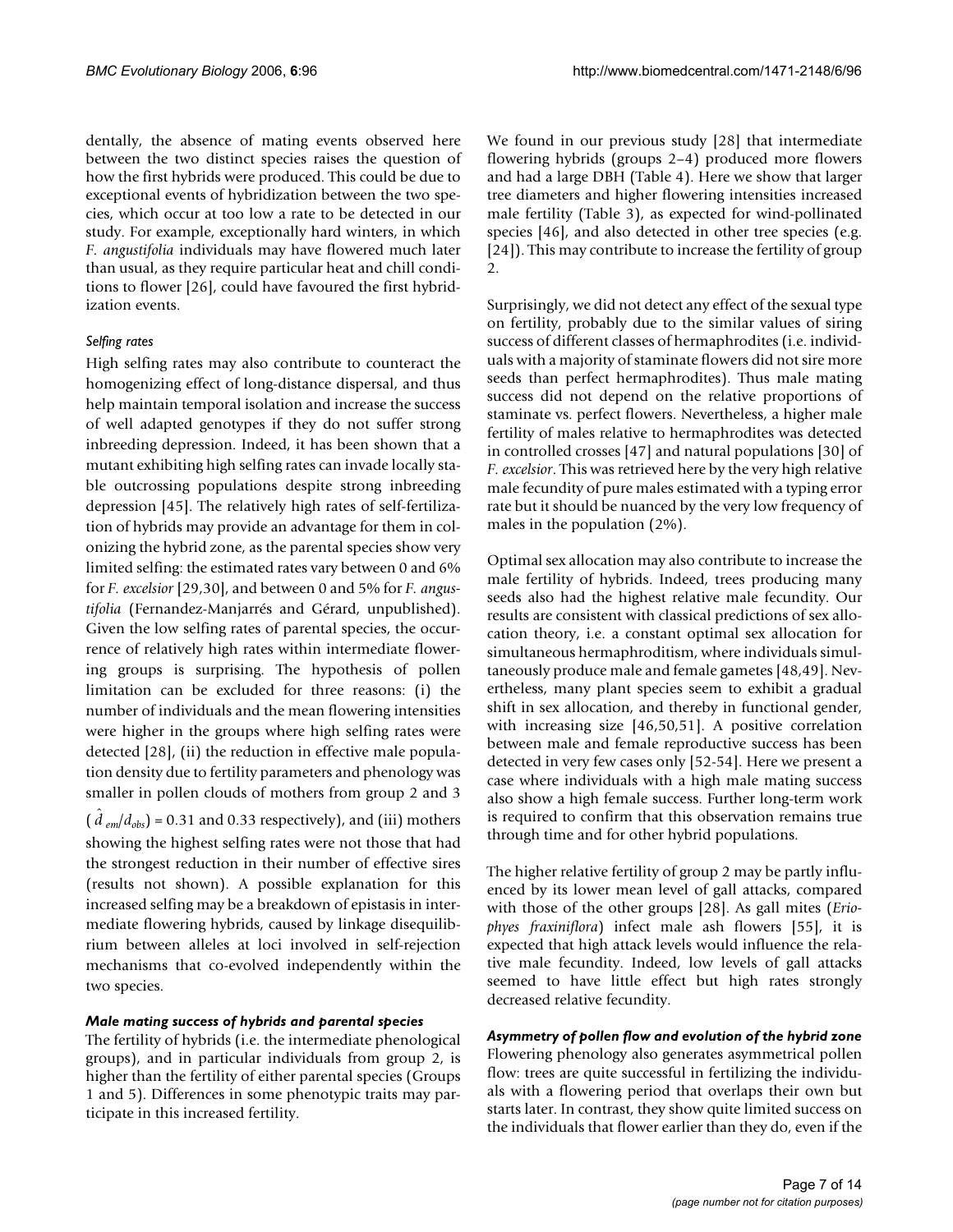dentally, the absence of mating events observed here between the two distinct species raises the question of how the first hybrids were produced. This could be due to exceptional events of hybridization between the two species, which occur at too low a rate to be detected in our study. For example, exceptionally hard winters, in which *F. angustifolia* individuals may have flowered much later than usual, as they require particular heat and chill conditions to flower [26], could have favoured the first hybridization events.

#### *Selfing rates*

High selfing rates may also contribute to counteract the homogenizing effect of long-distance dispersal, and thus help maintain temporal isolation and increase the success of well adapted genotypes if they do not suffer strong inbreeding depression. Indeed, it has been shown that a mutant exhibiting high selfing rates can invade locally stable outcrossing populations despite strong inbreeding depression [45]. The relatively high rates of self-fertilization of hybrids may provide an advantage for them in colonizing the hybrid zone, as the parental species show very limited selfing: the estimated rates vary between 0 and 6% for *F. excelsior* [29,30], and between 0 and 5% for *F. angustifolia* (Fernandez-Manjarrés and Gérard, unpublished). Given the low selfing rates of parental species, the occurrence of relatively high rates within intermediate flowering groups is surprising. The hypothesis of pollen limitation can be excluded for three reasons: (i) the number of individuals and the mean flowering intensities were higher in the groups where high selfing rates were detected [28], (ii) the reduction in effective male population density due to fertility parameters and phenology was smaller in pollen clouds of mothers from group 2 and 3  $\hat{d}_{em}/d_{obs}$ ) = 0.31 and 0.33 respectively), and (iii) mothers showing the highest selfing rates were not those that had the strongest reduction in their number of effective sires (results not shown). A possible explanation for this increased selfing may be a breakdown of epistasis in intermediate flowering hybrids, caused by linkage disequilibrium between alleles at loci involved in self-rejection mechanisms that co-evolved independently within the two species.

#### *Male mating success of hybrids and parental species*

The fertility of hybrids (i.e. the intermediate phenological groups), and in particular individuals from group 2, is higher than the fertility of either parental species (Groups 1 and 5). Differences in some phenotypic traits may participate in this increased fertility.

We found in our previous study [28] that intermediate flowering hybrids (groups 2–4) produced more flowers and had a large DBH (Table 4). Here we show that larger tree diameters and higher flowering intensities increased male fertility (Table 3), as expected for wind-pollinated species [46], and also detected in other tree species (e.g. [24]). This may contribute to increase the fertility of group  $\mathcal{L}$ 

Surprisingly, we did not detect any effect of the sexual type on fertility, probably due to the similar values of siring success of different classes of hermaphrodites (i.e. individuals with a majority of staminate flowers did not sire more seeds than perfect hermaphrodites). Thus male mating success did not depend on the relative proportions of staminate vs. perfect flowers. Nevertheless, a higher male fertility of males relative to hermaphrodites was detected in controlled crosses [47] and natural populations [30] of *F. excelsior*. This was retrieved here by the very high relative male fecundity of pure males estimated with a typing error rate but it should be nuanced by the very low frequency of males in the population (2%).

Optimal sex allocation may also contribute to increase the male fertility of hybrids. Indeed, trees producing many seeds also had the highest relative male fecundity. Our results are consistent with classical predictions of sex allocation theory, i.e. a constant optimal sex allocation for simultaneous hermaphroditism, where individuals simultaneously produce male and female gametes [48,49]. Nevertheless, many plant species seem to exhibit a gradual shift in sex allocation, and thereby in functional gender, with increasing size [46,50,51]. A positive correlation between male and female reproductive success has been detected in very few cases only [52-54]. Here we present a case where individuals with a high male mating success also show a high female success. Further long-term work is required to confirm that this observation remains true through time and for other hybrid populations.

The higher relative fertility of group 2 may be partly influenced by its lower mean level of gall attacks, compared with those of the other groups [28]. As gall mites (*Eriophyes fraxiniflora*) infect male ash flowers [55], it is expected that high attack levels would influence the relative male fecundity. Indeed, low levels of gall attacks seemed to have little effect but high rates strongly decreased relative fecundity.

# *Asymmetry of pollen flow and evolution of the hybrid zone*

Flowering phenology also generates asymmetrical pollen flow: trees are quite successful in fertilizing the individuals with a flowering period that overlaps their own but starts later. In contrast, they show quite limited success on the individuals that flower earlier than they do, even if the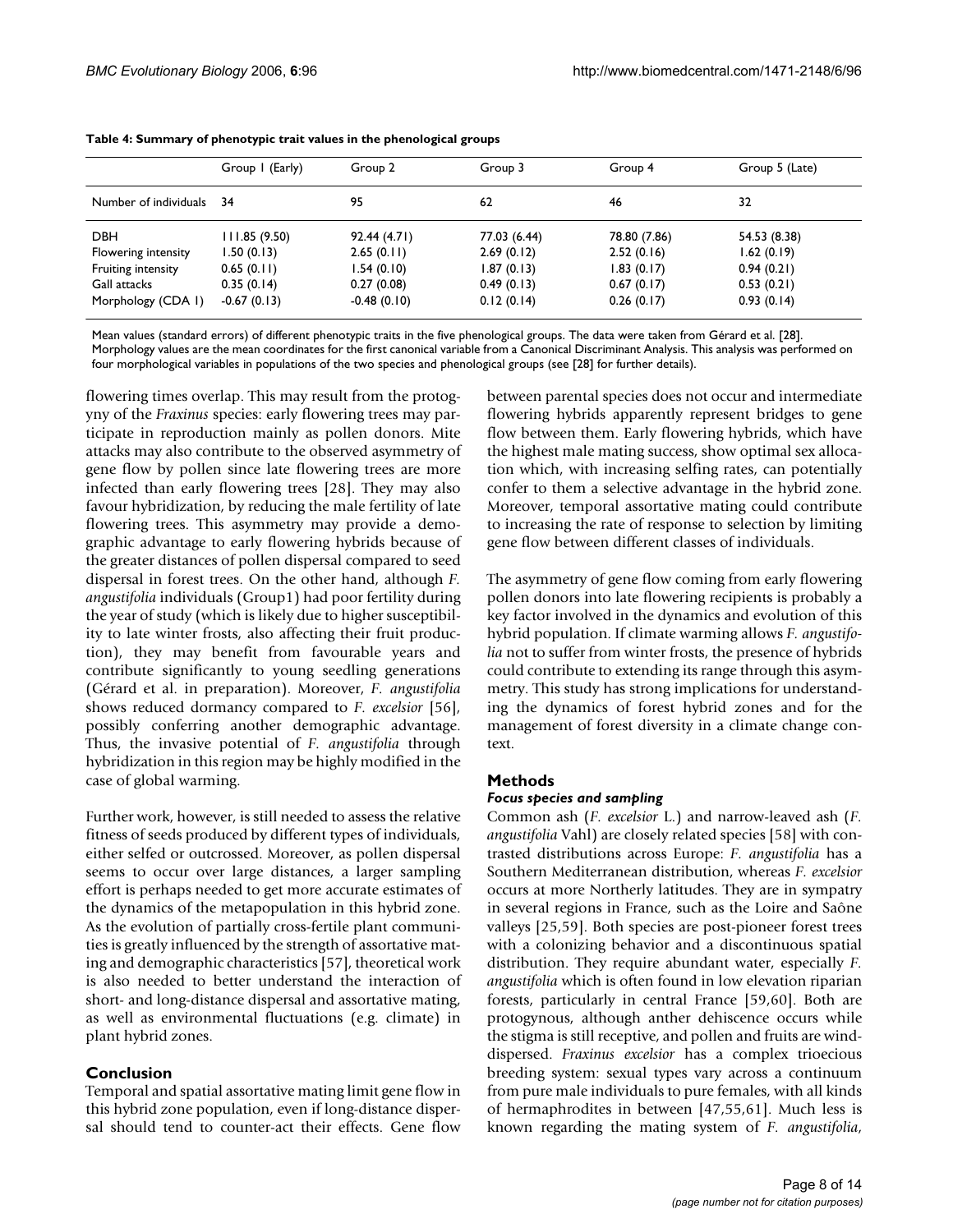|                       | Group I (Early) | Group 2       | Group 3      | Group 4      | Group 5 (Late) |
|-----------------------|-----------------|---------------|--------------|--------------|----------------|
| Number of individuals | 34              | 95            | 62           | 46           | 32             |
| <b>DBH</b>            | 111.85(9.50)    | 92.44 (4.71)  | 77.03 (6.44) | 78.80 (7.86) | 54.53 (8.38)   |
| Flowering intensity   | 1.50(0.13)      | 2.65(0.11)    | 2.69(0.12)   | 2.52(0.16)   | 1.62(0.19)     |
| Fruiting intensity    | 0.65(0.11)      | 1.54(0.10)    | 1.87(0.13)   | 1.83(0.17)   | 0.94(0.21)     |
| Gall attacks          | 0.35(0.14)      | 0.27(0.08)    | 0.49(0.13)   | 0.67(0.17)   | 0.53(0.21)     |
| Morphology (CDA I)    | $-0.67(0.13)$   | $-0.48(0.10)$ | 0.12(0.14)   | 0.26(0.17)   | 0.93(0.14)     |

**Table 4: Summary of phenotypic trait values in the phenological groups**

Mean values (standard errors) of different phenotypic traits in the five phenological groups. The data were taken from Gérard et al. [28]. Morphology values are the mean coordinates for the first canonical variable from a Canonical Discriminant Analysis. This analysis was performed on four morphological variables in populations of the two species and phenological groups (see [28] for further details).

flowering times overlap. This may result from the protogyny of the *Fraxinus* species: early flowering trees may participate in reproduction mainly as pollen donors. Mite attacks may also contribute to the observed asymmetry of gene flow by pollen since late flowering trees are more infected than early flowering trees [28]. They may also favour hybridization, by reducing the male fertility of late flowering trees. This asymmetry may provide a demographic advantage to early flowering hybrids because of the greater distances of pollen dispersal compared to seed dispersal in forest trees. On the other hand, although *F. angustifolia* individuals (Group1) had poor fertility during the year of study (which is likely due to higher susceptibility to late winter frosts, also affecting their fruit production), they may benefit from favourable years and contribute significantly to young seedling generations (Gérard et al. in preparation). Moreover, *F. angustifolia* shows reduced dormancy compared to *F. excelsior* [56], possibly conferring another demographic advantage. Thus, the invasive potential of *F. angustifolia* through hybridization in this region may be highly modified in the case of global warming.

Further work, however, is still needed to assess the relative fitness of seeds produced by different types of individuals, either selfed or outcrossed. Moreover, as pollen dispersal seems to occur over large distances, a larger sampling effort is perhaps needed to get more accurate estimates of the dynamics of the metapopulation in this hybrid zone. As the evolution of partially cross-fertile plant communities is greatly influenced by the strength of assortative mating and demographic characteristics [57], theoretical work is also needed to better understand the interaction of short- and long-distance dispersal and assortative mating, as well as environmental fluctuations (e.g. climate) in plant hybrid zones.

# **Conclusion**

Temporal and spatial assortative mating limit gene flow in this hybrid zone population, even if long-distance dispersal should tend to counter-act their effects. Gene flow

between parental species does not occur and intermediate flowering hybrids apparently represent bridges to gene flow between them. Early flowering hybrids, which have the highest male mating success, show optimal sex allocation which, with increasing selfing rates, can potentially confer to them a selective advantage in the hybrid zone. Moreover, temporal assortative mating could contribute to increasing the rate of response to selection by limiting gene flow between different classes of individuals.

The asymmetry of gene flow coming from early flowering pollen donors into late flowering recipients is probably a key factor involved in the dynamics and evolution of this hybrid population. If climate warming allows *F. angustifolia* not to suffer from winter frosts, the presence of hybrids could contribute to extending its range through this asymmetry. This study has strong implications for understanding the dynamics of forest hybrid zones and for the management of forest diversity in a climate change context.

# **Methods**

# *Focus species and sampling*

Common ash (*F. excelsior* L.) and narrow-leaved ash (*F. angustifolia* Vahl) are closely related species [58] with contrasted distributions across Europe: *F. angustifolia* has a Southern Mediterranean distribution, whereas *F. excelsior* occurs at more Northerly latitudes. They are in sympatry in several regions in France, such as the Loire and Saône valleys [25,59]. Both species are post-pioneer forest trees with a colonizing behavior and a discontinuous spatial distribution. They require abundant water, especially *F. angustifolia* which is often found in low elevation riparian forests, particularly in central France [59,60]. Both are protogynous, although anther dehiscence occurs while the stigma is still receptive, and pollen and fruits are winddispersed. *Fraxinus excelsior* has a complex trioecious breeding system: sexual types vary across a continuum from pure male individuals to pure females, with all kinds of hermaphrodites in between [47,55,61]. Much less is known regarding the mating system of *F. angustifolia*,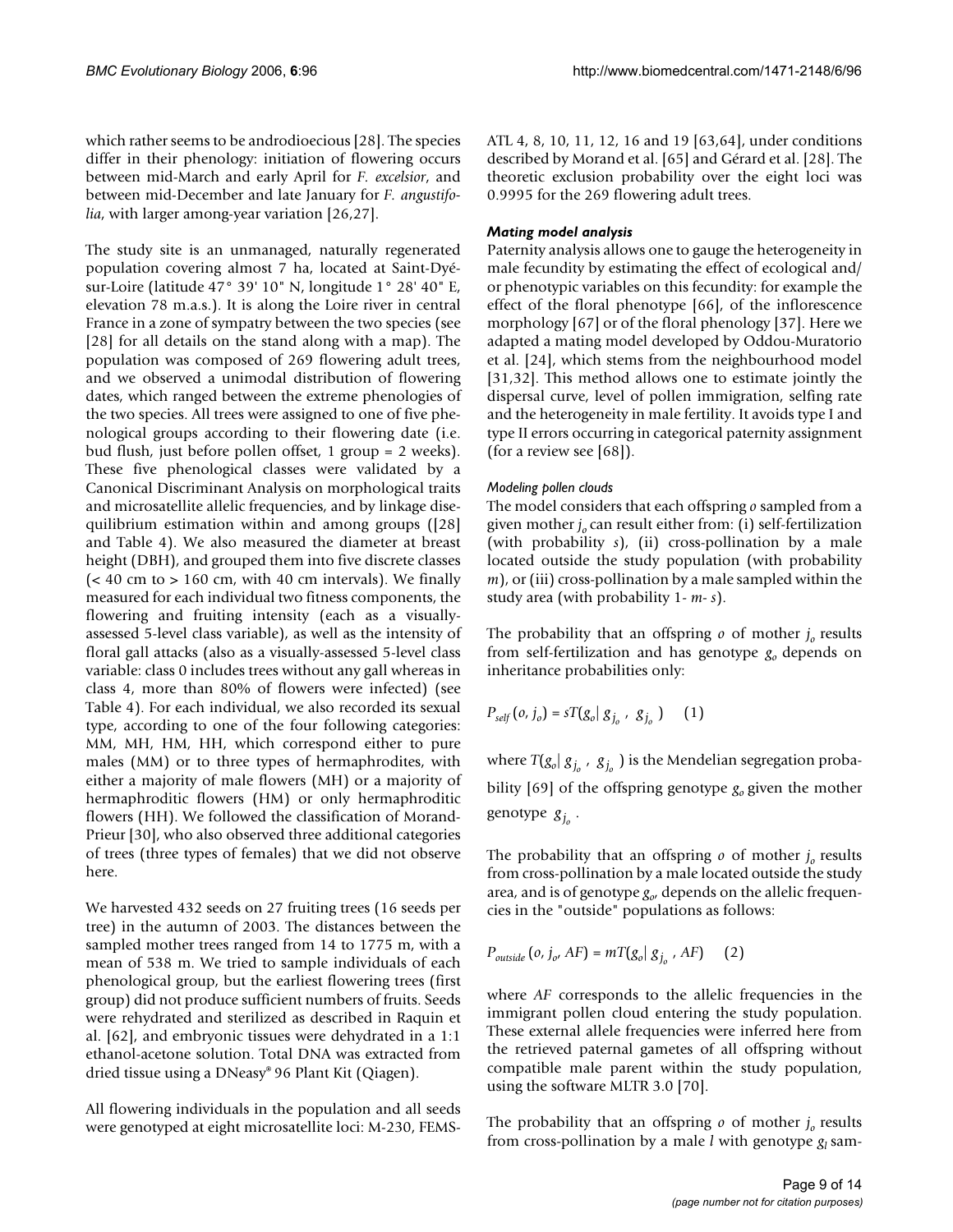which rather seems to be androdioecious [28]. The species differ in their phenology: initiation of flowering occurs between mid-March and early April for *F. excelsior*, and between mid-December and late January for *F. angustifolia*, with larger among-year variation [26,27].

The study site is an unmanaged, naturally regenerated population covering almost 7 ha, located at Saint-Dyésur-Loire (latitude 47° 39' 10" N, longitude 1° 28' 40" E, elevation 78 m.a.s.). It is along the Loire river in central France in a zone of sympatry between the two species (see [28] for all details on the stand along with a map). The population was composed of 269 flowering adult trees, and we observed a unimodal distribution of flowering dates, which ranged between the extreme phenologies of the two species. All trees were assigned to one of five phenological groups according to their flowering date (i.e. bud flush, just before pollen offset, 1 group = 2 weeks). These five phenological classes were validated by a Canonical Discriminant Analysis on morphological traits and microsatellite allelic frequencies, and by linkage disequilibrium estimation within and among groups ([28] and Table 4). We also measured the diameter at breast height (DBH), and grouped them into five discrete classes  $\approx$  40 cm to > 160 cm, with 40 cm intervals). We finally measured for each individual two fitness components, the flowering and fruiting intensity (each as a visuallyassessed 5-level class variable), as well as the intensity of floral gall attacks (also as a visually-assessed 5-level class variable: class 0 includes trees without any gall whereas in class 4, more than 80% of flowers were infected) (see Table 4). For each individual, we also recorded its sexual type, according to one of the four following categories: MM, MH, HM, HH, which correspond either to pure males (MM) or to three types of hermaphrodites, with either a majority of male flowers (MH) or a majority of hermaphroditic flowers (HM) or only hermaphroditic flowers (HH). We followed the classification of Morand-Prieur [30], who also observed three additional categories of trees (three types of females) that we did not observe here.

We harvested 432 seeds on 27 fruiting trees (16 seeds per tree) in the autumn of 2003. The distances between the sampled mother trees ranged from 14 to 1775 m, with a mean of 538 m. We tried to sample individuals of each phenological group, but the earliest flowering trees (first group) did not produce sufficient numbers of fruits. Seeds were rehydrated and sterilized as described in Raquin et al. [62], and embryonic tissues were dehydrated in a 1:1 ethanol-acetone solution. Total DNA was extracted from dried tissue using a DNeasy® 96 Plant Kit (Qiagen).

All flowering individuals in the population and all seeds were genotyped at eight microsatellite loci: M-230, FEMS-

ATL 4, 8, 10, 11, 12, 16 and 19 [63,64], under conditions described by Morand et al. [65] and Gérard et al. [28]. The theoretic exclusion probability over the eight loci was 0.9995 for the 269 flowering adult trees.

#### *Mating model analysis*

Paternity analysis allows one to gauge the heterogeneity in male fecundity by estimating the effect of ecological and/ or phenotypic variables on this fecundity: for example the effect of the floral phenotype [66], of the inflorescence morphology [67] or of the floral phenology [37]. Here we adapted a mating model developed by Oddou-Muratorio et al. [24], which stems from the neighbourhood model [31,32]. This method allows one to estimate jointly the dispersal curve, level of pollen immigration, selfing rate and the heterogeneity in male fertility. It avoids type I and type II errors occurring in categorical paternity assignment (for a review see [68]).

#### *Modeling pollen clouds*

The model considers that each offspring *o* sampled from a given mother *j<sub>o</sub>* can result either from: (i) self-fertilization (with probability *s*), (ii) cross-pollination by a male located outside the study population (with probability *m*), or (iii) cross-pollination by a male sampled within the study area (with probability 1- *m*- *s*).

The probability that an offspring  $\rho$  of mother  $j<sub>o</sub>$  results from self-fertilization and has genotype *go* depends on inheritance probabilities only:

$$
P_{self}(o, j_o) = sT(g_o | g_{j_o}, g_{j_o}) \quad (1)
$$

where  $T(g_o | g_{j_o}$  ,  $g_{j_o}$  ) is the Mendelian segregation probability [69] of the offspring genotype  $g_0$  given the mother genotype  $g_{j_o}$ .

The probability that an offspring  $\rho$  of mother  $j<sub>o</sub>$  results from cross-pollination by a male located outside the study area, and is of genotype *go*, depends on the allelic frequencies in the "outside" populations as follows:

$$
P_{outside}\left(o,j_o,AF\right)=mT(g_o\,|\,g_{j_o}\;,AF)\quad \ \ (2)
$$

where *AF* corresponds to the allelic frequencies in the immigrant pollen cloud entering the study population. These external allele frequencies were inferred here from the retrieved paternal gametes of all offspring without compatible male parent within the study population, using the software MLTR 3.0 [70].

The probability that an offspring  $\rho$  of mother  $j<sub>o</sub>$  results from cross-pollination by a male *l* with genotype  $g_l$  sam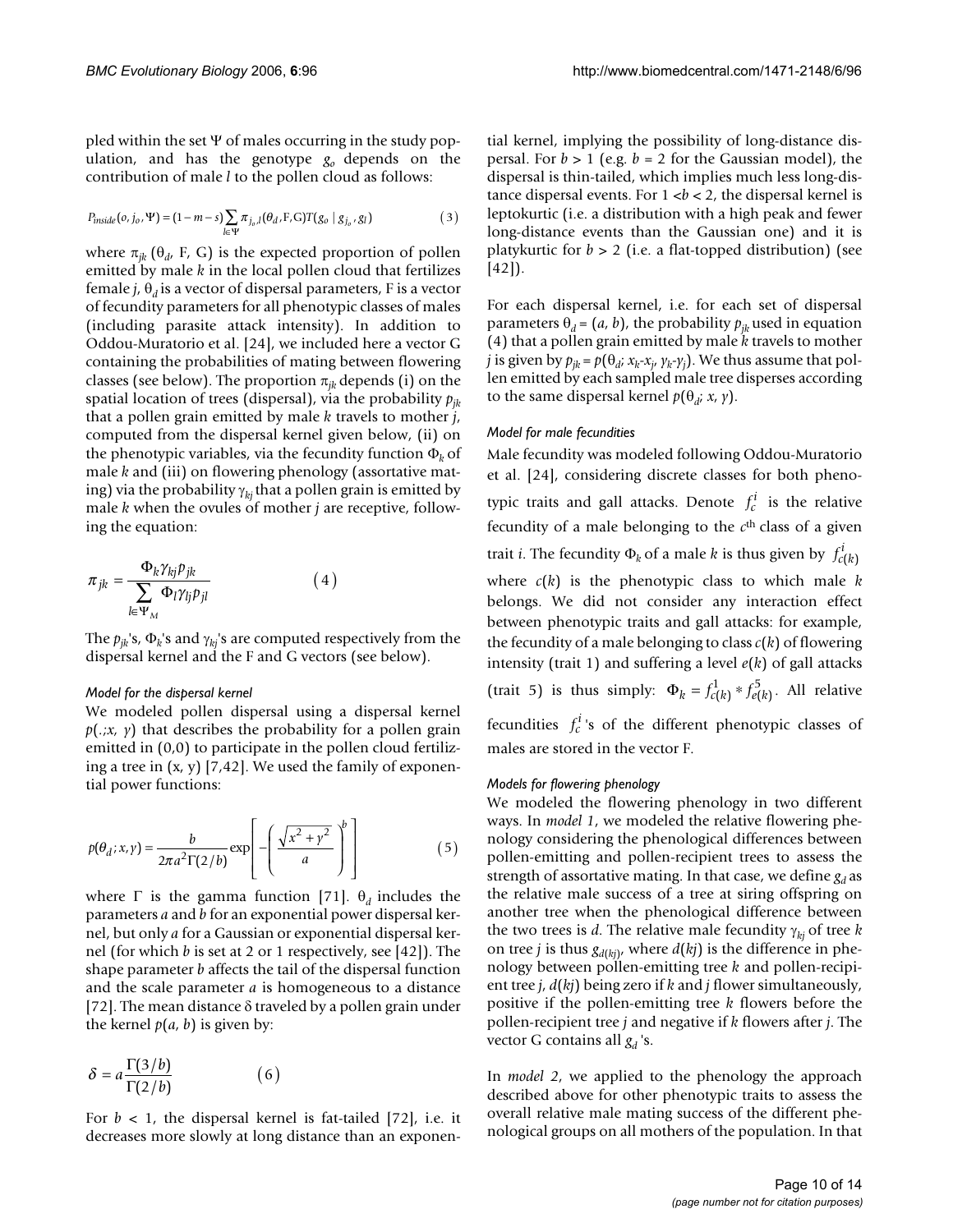pled within the set Ψ of males occurring in the study population, and has the genotype *go* depends on the contribution of male *l* to the pollen cloud as follows:

$$
P_{inside}(o, j_o, \Psi) = (1 - m - s) \sum_{l \in \Psi} \pi_{j_o, l}(\theta_d, \mathbf{F}, \mathbf{G}) T(g_o \mid g_{j_o}, g_l)
$$
(3)

where  $\pi_{jk}$  ( $\theta_{d}$ , F, G) is the expected proportion of pollen emitted by male *k* in the local pollen cloud that fertilizes female *j*,  $θ$ <sub>*d*</sub> is a vector of dispersal parameters, F is a vector of fecundity parameters for all phenotypic classes of males (including parasite attack intensity). In addition to Oddou-Muratorio et al. [24], we included here a vector G containing the probabilities of mating between flowering classes (see below). The proportion  $\pi_{ik}$  depends (i) on the spatial location of trees (dispersal), via the probability  $p_{ik}$ that a pollen grain emitted by male *k* travels to mother *j*, computed from the dispersal kernel given below, (ii) on the phenotypic variables, via the fecundity function Φ*k* of male *k* and (iii) on flowering phenology (assortative mating) via the probability  $\gamma_{ki}$  that a pollen grain is emitted by male *k* when the ovules of mother *j* are receptive, following the equation:

$$
\pi_{jk} = \frac{\Phi_k \gamma_{kj} \rho_{jk}}{\sum_{l \in \Psi_M} \Phi_l \gamma_{lj} \rho_{jl}} \tag{4}
$$

The  $p_{ik}$ 's,  $\Phi_k$ 's and  $\gamma_{ki}$ 's are computed respectively from the dispersal kernel and the F and G vectors (see below).

#### *Model for the dispersal kernel*

We modeled pollen dispersal using a dispersal kernel  $p(.;x, y)$  that describes the probability for a pollen grain emitted in (0,0) to participate in the pollen cloud fertilizing a tree in (x, y) [7,42]. We used the family of exponential power functions:

$$
p(\theta_d; x, y) = \frac{b}{2\pi a^2 \Gamma(2/b)} \exp\left[-\left(\frac{\sqrt{x^2 + y^2}}{a}\right)^b\right]
$$
(5)

where  $\Gamma$  is the gamma function [71].  $\theta_d$  includes the parameters *a* and *b* for an exponential power dispersal kernel, but only *a* for a Gaussian or exponential dispersal kernel (for which *b* is set at 2 or 1 respectively, see [42]). The shape parameter *b* affects the tail of the dispersal function and the scale parameter *a* is homogeneous to a distance [72]. The mean distance δ traveled by a pollen grain under the kernel  $p(a, b)$  is given by:

$$
\delta = a \frac{\Gamma(3/b)}{\Gamma(2/b)}\tag{6}
$$

For *b* < 1, the dispersal kernel is fat-tailed [72], i.e. it decreases more slowly at long distance than an exponential kernel, implying the possibility of long-distance dispersal. For  $b > 1$  (e.g.  $b = 2$  for the Gaussian model), the dispersal is thin-tailed, which implies much less long-distance dispersal events. For 1 <*b* < 2, the dispersal kernel is leptokurtic (i.e. a distribution with a high peak and fewer long-distance events than the Gaussian one) and it is platykurtic for *b* > 2 (i.e. a flat-topped distribution) (see [42]).

For each dispersal kernel, i.e. for each set of dispersal parameters  $\theta_d = (a, b)$ , the probability  $p_{ik}$  used in equation (4) that a pollen grain emitted by male *k* travels to mother *j* is given by  $p_{jk}$  =  $p(\theta_{d^j} x_k \text{-} x_{j^{\prime}} \gamma_k \text{-} y_j)$ . We thus assume that pollen emitted by each sampled male tree disperses according to the same dispersal kernel  $p(\theta_d; x, y)$ .

#### *Model for male fecundities*

Male fecundity was modeled following Oddou-Muratorio et al. [24], considering discrete classes for both phenotypic traits and gall attacks. Denote  $f_c^i$  is the relative fecundity of a male belonging to the *c*th class of a given trait *i*. The fecundity  $\Phi_k$  of a male *k* is thus given by  $f_{c(k)}^i$ where  $c(k)$  is the phenotypic class to which male  $k$ belongs. We did not consider any interaction effect between phenotypic traits and gall attacks: for example, the fecundity of a male belonging to class *c*(*k*) of flowering intensity (trait 1) and suffering a level *e*(*k*) of gall attacks (trait 5) is thus simply:  $\Phi_k = f_{c(k)}^1 * f_{e(k)}^5$ . All relative fecundities  $f_c^i$ 's of the different phenotypic classes of males are stored in the vector F.

#### *Models for flowering phenology*

We modeled the flowering phenology in two different ways. In *model 1*, we modeled the relative flowering phenology considering the phenological differences between pollen-emitting and pollen-recipient trees to assess the strength of assortative mating. In that case, we define  $g_d$  as the relative male success of a tree at siring offspring on another tree when the phenological difference between the two trees is *d*. The relative male fecundity  $\gamma_{ki}$  of tree *k* on tree *j* is thus  $g_{d(kj)}$ , where  $d(kj)$  is the difference in phenology between pollen-emitting tree *k* and pollen-recipient tree *j*, *d*(*kj*) being zero if *k* and *j* flower simultaneously, positive if the pollen-emitting tree *k* flowers before the pollen-recipient tree *j* and negative if *k* flowers after *j*. The vector G contains all *gd* 's.

In *model 2*, we applied to the phenology the approach described above for other phenotypic traits to assess the overall relative male mating success of the different phenological groups on all mothers of the population. In that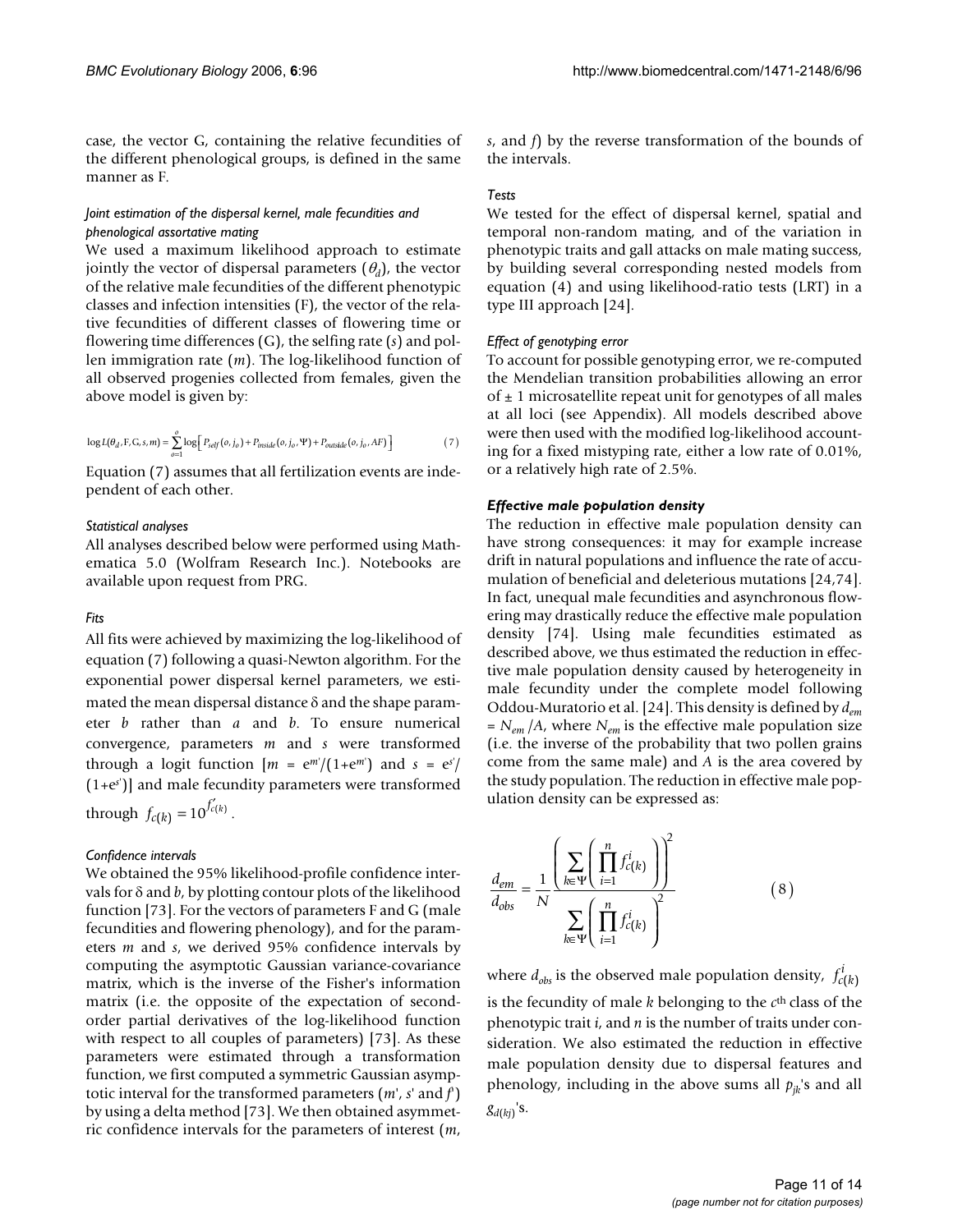case, the vector G, containing the relative fecundities of the different phenological groups, is defined in the same manner as F.

# *Joint estimation of the dispersal kernel, male fecundities and phenological assortative mating*

We used a maximum likelihood approach to estimate jointly the vector of dispersal parameters  $(\theta_d)$ , the vector of the relative male fecundities of the different phenotypic classes and infection intensities (F), the vector of the relative fecundities of different classes of flowering time or flowering time differences (G), the selfing rate (*s*) and pollen immigration rate (*m*). The log-likelihood function of all observed progenies collected from females, given the above model is given by:

$$
\log L(\theta_d, \mathcal{F}, \mathcal{G}, s, m) = \sum_{o=1}^{o} \log \left[ P_{self}(o, j_o) + P_{inside}(o, j_o, \Psi) + P_{outside}(o, j_o, AF) \right]
$$
(7)

Equation (7) assumes that all fertilization events are independent of each other.

#### *Statistical analyses*

All analyses described below were performed using Mathematica 5.0 (Wolfram Research Inc.). Notebooks are available upon request from PRG.

#### *Fits*

All fits were achieved by maximizing the log-likelihood of equation (7) following a quasi-Newton algorithm. For the exponential power dispersal kernel parameters, we estimated the mean dispersal distance  $\delta$  and the shape parameter *b* rather than *a* and *b*. To ensure numerical convergence, parameters *m* and *s* were transformed through a logit function  $[m = e^{m} / (1 + e^{m})$  and  $s = e^{s} /$ (1+e*<sup>s</sup>*' )] and male fecundity parameters were transformed through  $f_{c(k)} = 10^{f'_{c(k)}}$ .

# *Confidence intervals*

We obtained the 95% likelihood-profile confidence intervals for δ and *b*, by plotting contour plots of the likelihood function [73]. For the vectors of parameters F and G (male fecundities and flowering phenology), and for the parameters *m* and *s*, we derived 95% confidence intervals by computing the asymptotic Gaussian variance-covariance matrix, which is the inverse of the Fisher's information matrix (i.e. the opposite of the expectation of secondorder partial derivatives of the log-likelihood function with respect to all couples of parameters) [73]. As these parameters were estimated through a transformation function, we first computed a symmetric Gaussian asymptotic interval for the transformed parameters (*m*', *s*' and *f*') by using a delta method [73]. We then obtained asymmetric confidence intervals for the parameters of interest (*m*,

*s*, and *f*) by the reverse transformation of the bounds of the intervals.

#### *Tests*

We tested for the effect of dispersal kernel, spatial and temporal non-random mating, and of the variation in phenotypic traits and gall attacks on male mating success, by building several corresponding nested models from equation (4) and using likelihood-ratio tests (LRT) in a type III approach [24].

#### *Effect of genotyping error*

To account for possible genotyping error, we re-computed the Mendelian transition probabilities allowing an error of  $\pm$  1 microsatellite repeat unit for genotypes of all males at all loci (see Appendix). All models described above were then used with the modified log-likelihood accounting for a fixed mistyping rate, either a low rate of 0.01%, or a relatively high rate of 2.5%.

#### *Effective male population density*

The reduction in effective male population density can have strong consequences: it may for example increase drift in natural populations and influence the rate of accumulation of beneficial and deleterious mutations [24,74]. In fact, unequal male fecundities and asynchronous flowering may drastically reduce the effective male population density [74]. Using male fecundities estimated as described above, we thus estimated the reduction in effective male population density caused by heterogeneity in male fecundity under the complete model following Oddou-Muratorio et al. [24]. This density is defined by *dem*  $N_{em}/A$ , where  $N_{em}$  is the effective male population size (i.e. the inverse of the probability that two pollen grains come from the same male) and *A* is the area covered by the study population. The reduction in effective male population density can be expressed as:

$$
\frac{d_{em}}{d_{obs}} = \frac{1}{N} \frac{\left(\sum_{k \in \Psi} \left(\prod_{i=1}^{n} f_{c(k)}^{i}\right)\right)^{2}}{\sum_{k \in \Psi} \left(\prod_{i=1}^{n} f_{c(k)}^{i}\right)^{2}}
$$
(8)

where  $d_{obs}$  is the observed male population density,  $f_{c(k)}^i$ is the fecundity of male  $k$  belonging to the  $c<sup>th</sup>$  class of the phenotypic trait *i*, and *n* is the number of traits under consideration. We also estimated the reduction in effective male population density due to dispersal features and phenology, including in the above sums all  $p_{jk}$ 's and all  $g_{d(kj)}$ 's.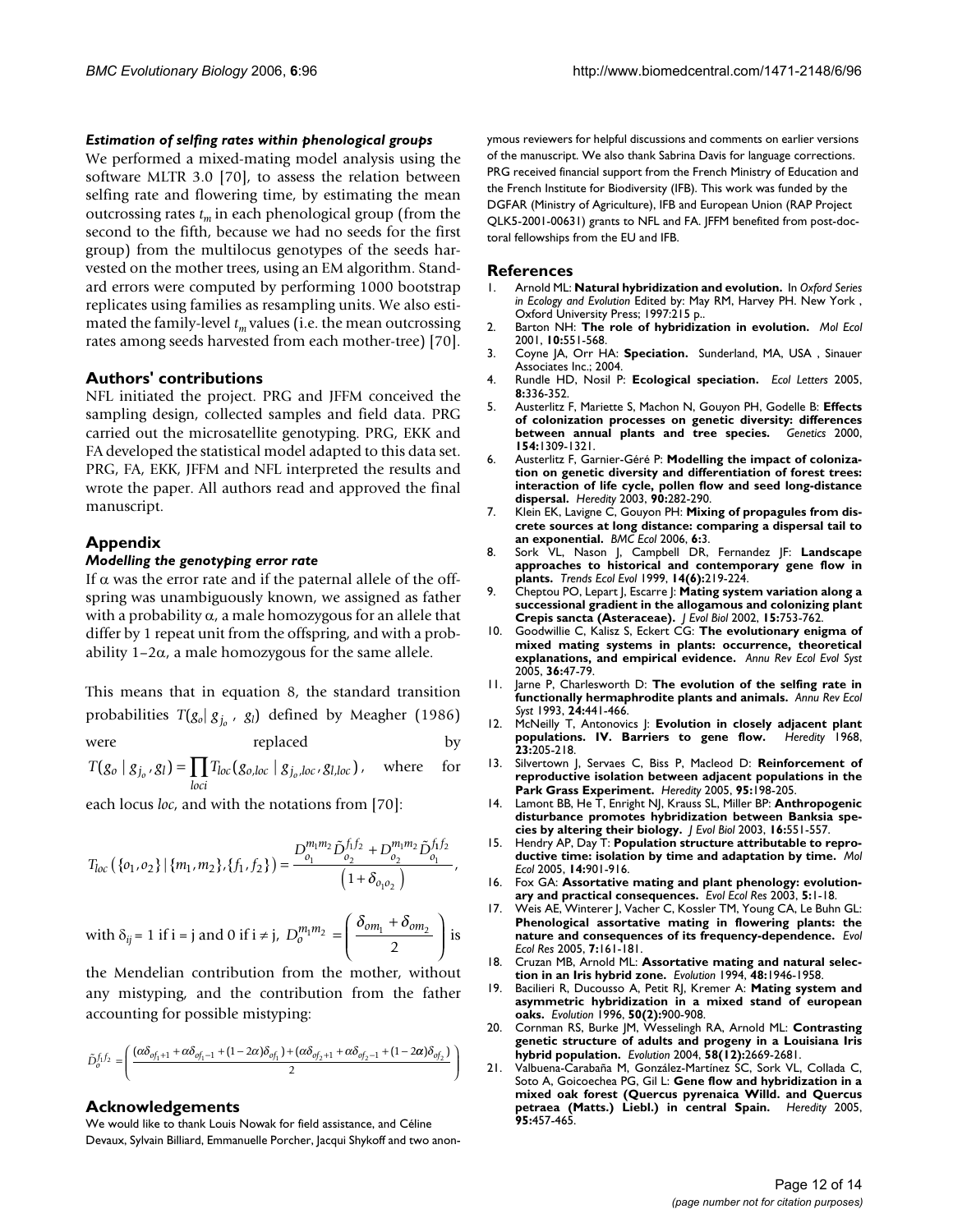#### *Estimation of selfing rates within phenological groups*

We performed a mixed-mating model analysis using the software MLTR 3.0 [70], to assess the relation between selfing rate and flowering time, by estimating the mean outcrossing rates  $t_m$  in each phenological group (from the second to the fifth, because we had no seeds for the first group) from the multilocus genotypes of the seeds harvested on the mother trees, using an EM algorithm. Standard errors were computed by performing 1000 bootstrap replicates using families as resampling units. We also estimated the family-level  $t_m$  values (i.e. the mean outcrossing rates among seeds harvested from each mother-tree) [70].

# **Authors' contributions**

NFL initiated the project. PRG and JFFM conceived the sampling design, collected samples and field data. PRG carried out the microsatellite genotyping. PRG, EKK and FA developed the statistical model adapted to this data set. PRG, FA, EKK, JFFM and NFL interpreted the results and wrote the paper. All authors read and approved the final manuscript.

# **Appendix**

#### *Modelling the genotyping error rate*

If  $\alpha$  was the error rate and if the paternal allele of the offspring was unambiguously known, we assigned as father with a probability  $\alpha$ , a male homozygous for an allele that differ by 1 repeat unit from the offspring, and with a probability  $1-2\alpha$ , a male homozygous for the same allele.

This means that in equation 8, the standard transition probabilities  $T(g_o | g_{j_o} , g_l)$  defined by Meagher (1986)

were **replaced** by

$$
T(g_o \mid g_{j_o}, g_l) = \prod_{loci} T_{loc}(g_{o,loc} \mid g_{j_o,loc}, g_{l,loc})\,, \quad \text{where} \quad \text{for}
$$

each locus *loc*, and with the notations from [70]:

$$
T_{loc}(\{o_1,o_2\} \mid \{m_1,m_2\},\{f_1,f_2\}) = \frac{D_{o_1}^{m_1m_2}\tilde{D}_{o_2}^{f_1f_2} + D_{o_2}^{m_1m_2}\tilde{D}_{o_1}^{f_1f_2}}{\left(1+\delta_{o_1o_2}\right)},
$$

with 
$$
\delta_{ij} = 1
$$
 if  $i = j$  and 0 if  $i \neq j$ ,  $D_0^{m_1 m_2} = \left(\frac{\delta_{om_1} + \delta_{om_2}}{2}\right)$  is

the Mendelian contribution from the mother, without any mistyping, and the contribution from the father accounting for possible mistyping:

$$
\tilde{D}_o^{f_1f_2}=\left(\frac{(\alpha\delta_{of_1+1}+\alpha\delta_{of_1-1}+(1-2\alpha)\delta_{of_1})+(\alpha\delta_{of_2+1}+\alpha\delta_{of_2-1}+(1-2\alpha)\delta_{of_2})}{2}\right)
$$

#### **Acknowledgements**

We would like to thank Louis Nowak for field assistance, and Céline Devaux, Sylvain Billiard, Emmanuelle Porcher, Jacqui Shykoff and two anonymous reviewers for helpful discussions and comments on earlier versions of the manuscript. We also thank Sabrina Davis for language corrections. PRG received financial support from the French Ministry of Education and the French Institute for Biodiversity (IFB). This work was funded by the DGFAR (Ministry of Agriculture), IFB and European Union (RAP Project QLK5-2001-00631) grants to NFL and FA. JFFM benefited from post-doctoral fellowships from the EU and IFB.

#### **References**

- 1. Arnold ML: **Natural hybridization and evolution.** In *Oxford Series in Ecology and Evolution* Edited by: May RM, Harvey PH. New York , Oxford University Press; 1997:215 p..
- 2. Barton NH: **[The role of hybridization in evolution.](http://www.ncbi.nlm.nih.gov/entrez/query.fcgi?cmd=Retrieve&db=PubMed&dopt=Abstract&list_uids=11298968)** *Mol Ecol* 2001, **10:**551-568.
- 3. Coyne JA, Orr HA: **Speciation.** Sunderland, MA, USA , Sinauer Associates Inc.; 2004.
- 4. Rundle HD, Nosil P: **Ecological speciation.** *Ecol Letters* 2005, **8:**336-352.
- 5. Austerlitz F, Mariette S, Machon N, Gouyon PH, Godelle B: **[Effects](http://www.ncbi.nlm.nih.gov/entrez/query.fcgi?cmd=Retrieve&db=PubMed&dopt=Abstract&list_uids=10757772) [of colonization processes on genetic diversity: differences](http://www.ncbi.nlm.nih.gov/entrez/query.fcgi?cmd=Retrieve&db=PubMed&dopt=Abstract&list_uids=10757772)** [between annual plants and tree species.](http://www.ncbi.nlm.nih.gov/entrez/query.fcgi?cmd=Retrieve&db=PubMed&dopt=Abstract&list_uids=10757772) **154:**1309-1321.
- 6. Austerlitz F, Garnier-Géré P: **[Modelling the impact of coloniza](http://www.ncbi.nlm.nih.gov/entrez/query.fcgi?cmd=Retrieve&db=PubMed&dopt=Abstract&list_uids=12692580)tion on genetic diversity and differentiation of forest trees: [interaction of life cycle, pollen flow and seed long-distance](http://www.ncbi.nlm.nih.gov/entrez/query.fcgi?cmd=Retrieve&db=PubMed&dopt=Abstract&list_uids=12692580) [dispersal.](http://www.ncbi.nlm.nih.gov/entrez/query.fcgi?cmd=Retrieve&db=PubMed&dopt=Abstract&list_uids=12692580)** *Heredity* 2003, **90:**282-290.
- 7. Klein EK, Lavigne C, Gouyon PH: **[Mixing of propagules from dis](http://www.ncbi.nlm.nih.gov/entrez/query.fcgi?cmd=Retrieve&db=PubMed&dopt=Abstract&list_uids=16504013)[crete sources at long distance: comparing a dispersal tail to](http://www.ncbi.nlm.nih.gov/entrez/query.fcgi?cmd=Retrieve&db=PubMed&dopt=Abstract&list_uids=16504013) [an exponential.](http://www.ncbi.nlm.nih.gov/entrez/query.fcgi?cmd=Retrieve&db=PubMed&dopt=Abstract&list_uids=16504013)** *BMC Ecol* 2006, **6:**3.
- 8. Sork VL, Nason J, Campbell DR, Fernandez JF: **[Landscape](http://www.ncbi.nlm.nih.gov/entrez/query.fcgi?cmd=Retrieve&db=PubMed&dopt=Abstract&list_uids=10354623) [approaches to historical and contemporary gene flow in](http://www.ncbi.nlm.nih.gov/entrez/query.fcgi?cmd=Retrieve&db=PubMed&dopt=Abstract&list_uids=10354623) [plants.](http://www.ncbi.nlm.nih.gov/entrez/query.fcgi?cmd=Retrieve&db=PubMed&dopt=Abstract&list_uids=10354623)** *Trends Ecol Evol* 1999, **14(6):**219-224.
- 9. Cheptou PO, Lepart J, Escarre J: **Mating system variation along a successional gradient in the allogamous and colonizing plant Crepis sancta (Asteraceae).** *J Evol Biol* 2002, **15:**753-762.
- 10. Goodwillie C, Kalisz S, Eckert CG: **The evolutionary enigma of mixed mating systems in plants: occurrence, theoretical explanations, and empirical evidence.** *Annu Rev Ecol Evol Syst* 2005, **36:**47-79.
- 11. Jarne P, Charlesworth D: **The evolution of the selfing rate in functionally hermaphrodite plants and animals.** *Annu Rev Ecol Syst* 1993, **24:**441-466.
- 12. McNeilly T, Antonovics J: **Evolution in closely adjacent plant populations. IV. Barriers to gene flow.** *Heredity* 1968, **23:**205-218.
- 13. Silvertown J, Servaes C, Biss P, Macleod D: **[Reinforcement of](http://www.ncbi.nlm.nih.gov/entrez/query.fcgi?cmd=Retrieve&db=PubMed&dopt=Abstract&list_uids=15999138) [reproductive isolation between adjacent populations in the](http://www.ncbi.nlm.nih.gov/entrez/query.fcgi?cmd=Retrieve&db=PubMed&dopt=Abstract&list_uids=15999138) [Park Grass Experiment.](http://www.ncbi.nlm.nih.gov/entrez/query.fcgi?cmd=Retrieve&db=PubMed&dopt=Abstract&list_uids=15999138)** *Heredity* 2005, **95:**198-205.
- 14. Lamont BB, He T, Enright NJ, Krauss SL, Miller BP: **[Anthropogenic](http://www.ncbi.nlm.nih.gov/entrez/query.fcgi?cmd=Retrieve&db=PubMed&dopt=Abstract&list_uids=14632219) [disturbance promotes hybridization between Banksia spe](http://www.ncbi.nlm.nih.gov/entrez/query.fcgi?cmd=Retrieve&db=PubMed&dopt=Abstract&list_uids=14632219)[cies by altering their biology.](http://www.ncbi.nlm.nih.gov/entrez/query.fcgi?cmd=Retrieve&db=PubMed&dopt=Abstract&list_uids=14632219)** *J Evol Biol* 2003, **16:**551-557.
- 15. Hendry AP, Day T: **[Population structure attributable to repro](http://www.ncbi.nlm.nih.gov/entrez/query.fcgi?cmd=Retrieve&db=PubMed&dopt=Abstract&list_uids=15773924)[ductive time: isolation by time and adaptation by time.](http://www.ncbi.nlm.nih.gov/entrez/query.fcgi?cmd=Retrieve&db=PubMed&dopt=Abstract&list_uids=15773924)** *Mol Ecol* 2005, **14:**901-916.
- 16. Fox GA: **Assortative mating and plant phenology: evolutionary and practical consequences.** *Evol Ecol Res* 2003, **5:**1-18.
- 17. Weis AE, Winterer J, Vacher C, Kossler TM, Young CA, Le Buhn GL: **Phenological assortative mating in flowering plants: the nature and consequences of its frequency-dependence.** *Evol Ecol Res* 2005, **7:**161-181.
- 18. Cruzan MB, Arnold ML: **Assortative mating and natural selection in an Iris hybrid zone.** *Evolution* 1994, **48:**1946-1958.
- 19. Bacilieri R, Ducousso A, Petit RJ, Kremer A: **Mating system and asymmetric hybridization in a mixed stand of european oaks.** *Evolution* 1996, **50(2):**900-908.
- 20. Cornman RS, Burke JM, Wesselingh RA, Arnold ML: **[Contrasting](http://www.ncbi.nlm.nih.gov/entrez/query.fcgi?cmd=Retrieve&db=PubMed&dopt=Abstract&list_uids=15696746) [genetic structure of adults and progeny in a Louisiana Iris](http://www.ncbi.nlm.nih.gov/entrez/query.fcgi?cmd=Retrieve&db=PubMed&dopt=Abstract&list_uids=15696746) [hybrid population.](http://www.ncbi.nlm.nih.gov/entrez/query.fcgi?cmd=Retrieve&db=PubMed&dopt=Abstract&list_uids=15696746)** *Evolution* 2004, **58(12):**2669-2681.
- 21. Valbuena-Carabaña M, González-Martínez SC, Sork VL, Collada C, Soto A, Goicoechea PG, Gil L: **[Gene flow and hybridization in a](http://www.ncbi.nlm.nih.gov/entrez/query.fcgi?cmd=Retrieve&db=PubMed&dopt=Abstract&list_uids=16249802) [mixed oak forest \(Quercus pyrenaica Willd. and Quercus](http://www.ncbi.nlm.nih.gov/entrez/query.fcgi?cmd=Retrieve&db=PubMed&dopt=Abstract&list_uids=16249802) [petraea \(Matts.\) Liebl.\) in central Spain.](http://www.ncbi.nlm.nih.gov/entrez/query.fcgi?cmd=Retrieve&db=PubMed&dopt=Abstract&list_uids=16249802)** *Heredity* 2005, **95:**457-465.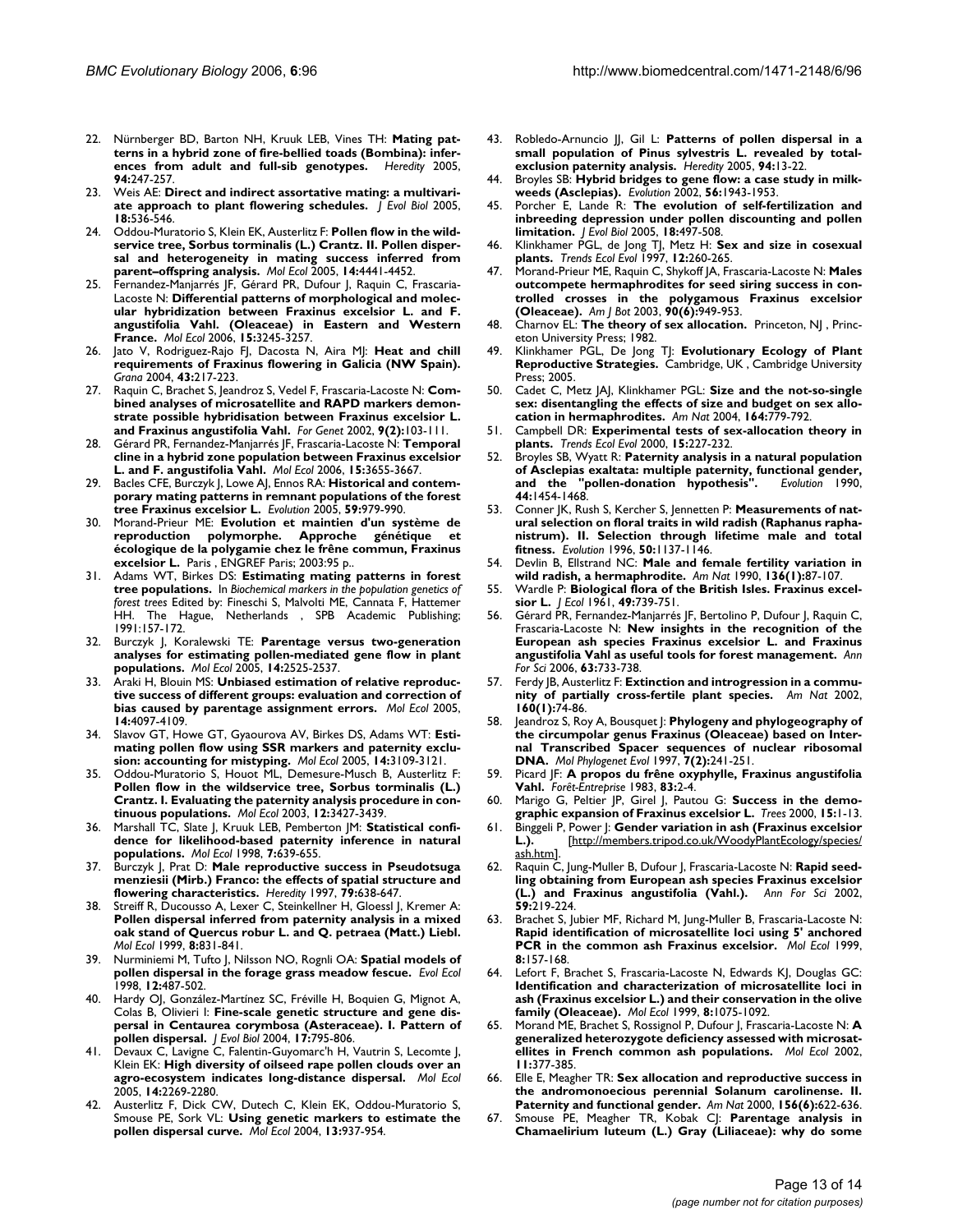- 22. Nürnberger BD, Barton NH, Kruuk LEB, Vines TH: **[Mating pat](http://www.ncbi.nlm.nih.gov/entrez/query.fcgi?cmd=Retrieve&db=PubMed&dopt=Abstract&list_uids=15536484)[terns in a hybrid zone of fire-bellied toads \(Bombina\): infer](http://www.ncbi.nlm.nih.gov/entrez/query.fcgi?cmd=Retrieve&db=PubMed&dopt=Abstract&list_uids=15536484)[ences from adult and full-sib genotypes.](http://www.ncbi.nlm.nih.gov/entrez/query.fcgi?cmd=Retrieve&db=PubMed&dopt=Abstract&list_uids=15536484)** *Heredity* 2005, **94:**247-257.
- 23. Weis AE: **[Direct and indirect assortative mating: a multivari](http://www.ncbi.nlm.nih.gov/entrez/query.fcgi?cmd=Retrieve&db=PubMed&dopt=Abstract&list_uids=15842483)[ate approach to plant flowering schedules.](http://www.ncbi.nlm.nih.gov/entrez/query.fcgi?cmd=Retrieve&db=PubMed&dopt=Abstract&list_uids=15842483)** *J Evol Biol* 2005, **18:**536-546.
- 24. Oddou-Muratorio S, Klein EK, Austerlitz F: **[Pollen flow in the wild](http://www.ncbi.nlm.nih.gov/entrez/query.fcgi?cmd=Retrieve&db=PubMed&dopt=Abstract&list_uids=16313604)service tree, Sorbus torminalis (L.) Crantz. II. Pollen disper[sal and heterogeneity in mating success inferred from](http://www.ncbi.nlm.nih.gov/entrez/query.fcgi?cmd=Retrieve&db=PubMed&dopt=Abstract&list_uids=16313604) [parent–offspring analysis.](http://www.ncbi.nlm.nih.gov/entrez/query.fcgi?cmd=Retrieve&db=PubMed&dopt=Abstract&list_uids=16313604)** *Mol Ecol* 2005, **14:**4441-4452.
- 25. Fernandez-Manjarrés JF, Gérard PR, Dufour J, Raquin C, Frascaria-Lacoste N: **[Differential patterns of morphological and molec](http://www.ncbi.nlm.nih.gov/entrez/query.fcgi?cmd=Retrieve&db=PubMed&dopt=Abstract&list_uids=16968268)ular hybridization between Fraxinus excelsior L. and F. [angustifolia Vahl. \(Oleaceae\) in Eastern and Western](http://www.ncbi.nlm.nih.gov/entrez/query.fcgi?cmd=Retrieve&db=PubMed&dopt=Abstract&list_uids=16968268) [France.](http://www.ncbi.nlm.nih.gov/entrez/query.fcgi?cmd=Retrieve&db=PubMed&dopt=Abstract&list_uids=16968268)** *Mol Ecol* 2006, **15:**3245-3257.
- 26. Jato V, Rodriguez-Rajo FJ, Dacosta N, Aira MJ: **Heat and chill requirements of Fraxinus flowering in Galicia (NW Spain).** *Grana* 2004, **43:**217-223.
- 27. Raquin C, Brachet S, Jeandroz S, Vedel F, Frascaria-Lacoste N: Com**bined analyses of microsatellite and RAPD markers demonstrate possible hybridisation between Fraxinus excelsior L. and Fraxinus angustifolia Vahl.** *For Genet* 2002, **9(2):**103-111.
- 28. Gérard PR, Fernandez-Manjarrés JF, Frascaria-Lacoste N: **[Temporal](http://www.ncbi.nlm.nih.gov/entrez/query.fcgi?cmd=Retrieve&db=PubMed&dopt=Abstract&list_uids=17032264) [cline in a hybrid zone population between Fraxinus excelsior](http://www.ncbi.nlm.nih.gov/entrez/query.fcgi?cmd=Retrieve&db=PubMed&dopt=Abstract&list_uids=17032264) [L. and F. angustifolia Vahl.](http://www.ncbi.nlm.nih.gov/entrez/query.fcgi?cmd=Retrieve&db=PubMed&dopt=Abstract&list_uids=17032264)** *Mol Ecol* 2006, **15:**3655-3667.
- 29. Bacles CFE, Burczyk J, Lowe AJ, Ennos RA: **[Historical and contem](http://www.ncbi.nlm.nih.gov/entrez/query.fcgi?cmd=Retrieve&db=PubMed&dopt=Abstract&list_uids=16136798)[porary mating patterns in remnant populations of the forest](http://www.ncbi.nlm.nih.gov/entrez/query.fcgi?cmd=Retrieve&db=PubMed&dopt=Abstract&list_uids=16136798) [tree Fraxinus excelsior L.](http://www.ncbi.nlm.nih.gov/entrez/query.fcgi?cmd=Retrieve&db=PubMed&dopt=Abstract&list_uids=16136798)** *Evolution* 2005, **59:**979-990.
- 30. Morand-Prieur ME: **Evolution et maintien d'un système de reproduction polymorphe. Approche génétique et écologique de la polygamie chez le frêne commun, Fraxinus excelsior L.** Paris , ENGREF Paris; 2003:95 p..
- 31. Adams WT, Birkes DS: **Estimating mating patterns in forest tree populations.** In *Biochemical markers in the population genetics of forest trees* Edited by: Fineschi S, Malvolti ME, Cannata F, Hattemer HH. The Hague, Netherlands , SPB Academic Publishing; 1991:157-172.
- 32. Burczyk J, Koralewski TE: **[Parentage versus two-generation](http://www.ncbi.nlm.nih.gov/entrez/query.fcgi?cmd=Retrieve&db=PubMed&dopt=Abstract&list_uids=15969732) [analyses for estimating pollen-mediated gene flow in plant](http://www.ncbi.nlm.nih.gov/entrez/query.fcgi?cmd=Retrieve&db=PubMed&dopt=Abstract&list_uids=15969732) [populations.](http://www.ncbi.nlm.nih.gov/entrez/query.fcgi?cmd=Retrieve&db=PubMed&dopt=Abstract&list_uids=15969732)** *Mol Ecol* 2005, **14:**2525-2537.
- 33. Araki H, Blouin MS: **[Unbiased estimation of relative reproduc](http://www.ncbi.nlm.nih.gov/entrez/query.fcgi?cmd=Retrieve&db=PubMed&dopt=Abstract&list_uids=16262861)[tive success of different groups: evaluation and correction of](http://www.ncbi.nlm.nih.gov/entrez/query.fcgi?cmd=Retrieve&db=PubMed&dopt=Abstract&list_uids=16262861) [bias caused by parentage assignment errors.](http://www.ncbi.nlm.nih.gov/entrez/query.fcgi?cmd=Retrieve&db=PubMed&dopt=Abstract&list_uids=16262861)** *Mol Ecol* 2005, **14:**4097-4109.
- 34. Slavov GT, Howe GT, Gyaourova AV, Birkes DS, Adams WT: **[Esti](http://www.ncbi.nlm.nih.gov/entrez/query.fcgi?cmd=Retrieve&db=PubMed&dopt=Abstract&list_uids=16101777)[mating pollen flow using SSR markers and paternity exclu](http://www.ncbi.nlm.nih.gov/entrez/query.fcgi?cmd=Retrieve&db=PubMed&dopt=Abstract&list_uids=16101777)[sion: accounting for mistyping.](http://www.ncbi.nlm.nih.gov/entrez/query.fcgi?cmd=Retrieve&db=PubMed&dopt=Abstract&list_uids=16101777)** *Mol Ecol* 2005, **14:**3109-3121.
- 35. Oddou-Muratorio S, Houot ML, Demesure-Musch B, Austerlitz F: **Pollen flow in the wildservice tree, Sorbus torminalis (L.) [Crantz. I. Evaluating the paternity analysis procedure in con](http://www.ncbi.nlm.nih.gov/entrez/query.fcgi?cmd=Retrieve&db=PubMed&dopt=Abstract&list_uids=14629357)[tinuous populations.](http://www.ncbi.nlm.nih.gov/entrez/query.fcgi?cmd=Retrieve&db=PubMed&dopt=Abstract&list_uids=14629357)** *Mol Ecol* 2003, **12:**3427-3439.
- 36. Marshall TC, Slate J, Kruuk LEB, Pemberton JM: **[Statistical confi](http://www.ncbi.nlm.nih.gov/entrez/query.fcgi?cmd=Retrieve&db=PubMed&dopt=Abstract&list_uids=9633105)[dence for likelihood-based paternity inference in natural](http://www.ncbi.nlm.nih.gov/entrez/query.fcgi?cmd=Retrieve&db=PubMed&dopt=Abstract&list_uids=9633105) [populations.](http://www.ncbi.nlm.nih.gov/entrez/query.fcgi?cmd=Retrieve&db=PubMed&dopt=Abstract&list_uids=9633105)** *Mol Ecol* 1998, **7:**639-655.
- 37. Burczyk J, Prat D: **Male reproductive success in Pseudotsuga menziesii (Mirb.) Franco: the effects of spatial structure and flowering characteristics.** *Heredity* 1997, **79:**638-647.
- 38. Streiff R, Ducousso A, Lexer C, Steinkellner H, Gloessl J, Kremer A: **Pollen dispersal inferred from paternity analysis in a mixed oak stand of Quercus robur L. and Q. petraea (Matt.) Liebl.** *Mol Ecol* 1999, **8:**831-841.
- 39. Nurminiemi M, Tufto J, Nilsson NO, Rognli OA: **Spatial models of pollen dispersal in the forage grass meadow fescue.** *Evol Ecol* 1998, **12:**487-502.
- 40. Hardy OJ, González-Martínez SC, Fréville H, Boquien G, Mignot A, Colas B, Olivieri I: **[Fine-scale genetic structure and gene dis](http://www.ncbi.nlm.nih.gov/entrez/query.fcgi?cmd=Retrieve&db=PubMed&dopt=Abstract&list_uids=15271079)[persal in Centaurea corymbosa \(Asteraceae\). I. Pattern of](http://www.ncbi.nlm.nih.gov/entrez/query.fcgi?cmd=Retrieve&db=PubMed&dopt=Abstract&list_uids=15271079) [pollen dispersal.](http://www.ncbi.nlm.nih.gov/entrez/query.fcgi?cmd=Retrieve&db=PubMed&dopt=Abstract&list_uids=15271079)** *J Evol Biol* 2004, **17:**795-806.
- 41. Devaux C, Lavigne C, Falentin-Guyomarc'h H, Vautrin S, Lecomte J, Klein EK: **[High diversity of oilseed rape pollen clouds over an](http://www.ncbi.nlm.nih.gov/entrez/query.fcgi?cmd=Retrieve&db=PubMed&dopt=Abstract&list_uids=15969713) [agro-ecosystem indicates long-distance dispersal.](http://www.ncbi.nlm.nih.gov/entrez/query.fcgi?cmd=Retrieve&db=PubMed&dopt=Abstract&list_uids=15969713)** *Mol Ecol* 2005, **14:**2269-2280.
- 42. Austerlitz F, Dick CW, Dutech C, Klein EK, Oddou-Muratorio S, Smouse PE, Sork VL: **[Using genetic markers to estimate the](http://www.ncbi.nlm.nih.gov/entrez/query.fcgi?cmd=Retrieve&db=PubMed&dopt=Abstract&list_uids=15012767) [pollen dispersal curve.](http://www.ncbi.nlm.nih.gov/entrez/query.fcgi?cmd=Retrieve&db=PubMed&dopt=Abstract&list_uids=15012767)** *Mol Ecol* 2004, **13:**937-954.
- 43. Robledo-Arnuncio JJ, Gil L: **[Patterns of pollen dispersal in a](http://www.ncbi.nlm.nih.gov/entrez/query.fcgi?cmd=Retrieve&db=PubMed&dopt=Abstract&list_uids=15292910) [small population of Pinus sylvestris L. revealed by total](http://www.ncbi.nlm.nih.gov/entrez/query.fcgi?cmd=Retrieve&db=PubMed&dopt=Abstract&list_uids=15292910)[exclusion paternity analysis.](http://www.ncbi.nlm.nih.gov/entrez/query.fcgi?cmd=Retrieve&db=PubMed&dopt=Abstract&list_uids=15292910)** *Heredity* 2005, **94:**13-22.
- 44. Broyles SB: **[Hybrid bridges to gene flow: a case study in milk](http://www.ncbi.nlm.nih.gov/entrez/query.fcgi?cmd=Retrieve&db=PubMed&dopt=Abstract&list_uids=12449481)[weeds \(Asclepias\).](http://www.ncbi.nlm.nih.gov/entrez/query.fcgi?cmd=Retrieve&db=PubMed&dopt=Abstract&list_uids=12449481)** *Evolution* 2002, **56:**1943-1953.
- 45. Porcher E, Lande R: **[The evolution of self-fertilization and](http://www.ncbi.nlm.nih.gov/entrez/query.fcgi?cmd=Retrieve&db=PubMed&dopt=Abstract&list_uids=15842479) [inbreeding depression under pollen discounting and pollen](http://www.ncbi.nlm.nih.gov/entrez/query.fcgi?cmd=Retrieve&db=PubMed&dopt=Abstract&list_uids=15842479) [limitation.](http://www.ncbi.nlm.nih.gov/entrez/query.fcgi?cmd=Retrieve&db=PubMed&dopt=Abstract&list_uids=15842479)** *J Evol Biol* 2005, **18:**497-508.
- 46. Klinkhamer PGL, de Jong TJ, Metz H: **Sex and size in cosexual plants.** *Trends Ecol Evol* 1997, **12:**260-265.
- 47. Morand-Prieur ME, Raquin C, Shykoff JA, Frascaria-Lacoste N: **Males outcompete hermaphrodites for seed siring success in controlled crosses in the polygamous Fraxinus excelsior (Oleaceae).** *Am J Bot* 2003, **90(6):**949-953.
- 48. Charnov EL: **[The theory of sex allocation.](http://www.ncbi.nlm.nih.gov/entrez/query.fcgi?cmd=Retrieve&db=PubMed&dopt=Abstract&list_uids=7144766)** Princeton, NJ , Princeton University Press; 1982.
- 49. Klinkhamer PGL, De Jong TJ: **Evolutionary Ecology of Plant Reproductive Strategies.** Cambridge, UK , Cambridge University Press; 2005.
- 50. Cadet C, Metz JAJ, Klinkhamer PGL: **Size and the not-so-single sex: disentangling the effects of size and budget on sex allocation in hermaphrodites.** *Am Nat* 2004, **164:**779-792.
- 51. Campbell DR: **[Experimental tests of sex-allocation theory in](http://www.ncbi.nlm.nih.gov/entrez/query.fcgi?cmd=Retrieve&db=PubMed&dopt=Abstract&list_uids=10802547) [plants.](http://www.ncbi.nlm.nih.gov/entrez/query.fcgi?cmd=Retrieve&db=PubMed&dopt=Abstract&list_uids=10802547)** *Trends Ecol Evol* 2000, **15:**227-232.
- 52. Broyles SB, Wyatt R: **Paternity analysis in a natural population of Asclepias exaltata: multiple paternity, functional gender, and the "pollen-donation hypothesis".** *Evolution* 1990, **44:**1454-1468.
- 53. Conner JK, Rush S, Kercher S, Jennetten P: **Measurements of natural selection on floral traits in wild radish (Raphanus raphanistrum). II. Selection through lifetime male and total fitness.** *Evolution* 1996, **50:**1137-1146.
- 54. Devlin B, Ellstrand NC: **Male and female fertility variation in wild radish, a hermaphrodite.** *Am Nat* 1990, **136(1):**87-107.
- 55. Wardle P: **Biological flora of the British Isles. Fraxinus excelsior L.** *J Ecol* 1961, **49:**739-751.
- 56. Gérard PR, Fernandez-Manjarrés JF, Bertolino P, Dufour J, Raquin C, Frascaria-Lacoste N: **New insights in the recognition of the European ash species Fraxinus excelsior L. and Fraxinus angustifolia Vahl as useful tools for forest management.** *Ann For Sci* 2006, **63:**733-738.
- 57. Ferdy JB, Austerlitz F: **Extinction and introgression in a community of partially cross-fertile plant species.** *Am Nat* 2002, **160(1):**74-86.
- Jeandroz S, Roy A, Bousquet J: [Phylogeny and phylogeography of](http://www.ncbi.nlm.nih.gov/entrez/query.fcgi?cmd=Retrieve&db=PubMed&dopt=Abstract&list_uids=9126566) **the circumpolar genus Fraxinus (Oleaceae) based on Inter[nal Transcribed Spacer sequences of nuclear ribosomal](http://www.ncbi.nlm.nih.gov/entrez/query.fcgi?cmd=Retrieve&db=PubMed&dopt=Abstract&list_uids=9126566) [DNA.](http://www.ncbi.nlm.nih.gov/entrez/query.fcgi?cmd=Retrieve&db=PubMed&dopt=Abstract&list_uids=9126566)** *Mol Phylogenet Evol* 1997, **7(2):**241-251.
- 59. Picard JF: **A propos du frêne oxyphylle, Fraxinus angustifolia Vahl.** *Forêt-Entreprise* 1983, **83:**2-4.
- 60. Marigo G, Peltier JP, Girel J, Pautou G: **Success in the demographic expansion of Fraxinus excelsior L.** *Trees* 2000, **15:**1-13.
- 61. Binggeli P, Power J: **Gender variation in ash (Fraxinus excelsior L.).** [[http://members.tripod.co.uk/WoodyPlantEcology/species/](http://members.tripod.co.uk/WoodyPlantEcology/species/ash.htm) [ash.htm](http://members.tripod.co.uk/WoodyPlantEcology/species/ash.htm)].
- 62. Raquin C, Jung-Muller B, Dufour J, Frascaria-Lacoste N: **Rapid seedling obtaining from European ash species Fraxinus excelsior (L.) and Fraxinus angustifolia (Vahl.).** *Ann For Sci* 2002, **59:**219-224.
- 63. Brachet S, Jubier MF, Richard M, Jung-Muller B, Frascaria-Lacoste N: **[Rapid identification of microsatellite loci using 5' anchored](http://www.ncbi.nlm.nih.gov/entrez/query.fcgi?cmd=Retrieve&db=PubMed&dopt=Abstract&list_uids=9919704) [PCR in the common ash Fraxinus excelsior.](http://www.ncbi.nlm.nih.gov/entrez/query.fcgi?cmd=Retrieve&db=PubMed&dopt=Abstract&list_uids=9919704)** *Mol Ecol* 1999, **8:**157-168.
- Lefort F, Brachet S, Frascaria-Lacoste N, Edwards KJ, Douglas GC: **Identification and characterization of microsatellite loci in [ash \(Fraxinus excelsior L.\) and their conservation in the olive](http://www.ncbi.nlm.nih.gov/entrez/query.fcgi?cmd=Retrieve&db=PubMed&dopt=Abstract&list_uids=10434426) [family \(Oleaceae\).](http://www.ncbi.nlm.nih.gov/entrez/query.fcgi?cmd=Retrieve&db=PubMed&dopt=Abstract&list_uids=10434426)** *Mol Ecol* 1999, **8:**1075-1092.
- 65. Morand ME, Brachet S, Rossignol P, Dufour J, Frascaria-Lacoste N: **[A](http://www.ncbi.nlm.nih.gov/entrez/query.fcgi?cmd=Retrieve&db=PubMed&dopt=Abstract&list_uids=11918777) [generalized heterozygote deficiency assessed with microsat](http://www.ncbi.nlm.nih.gov/entrez/query.fcgi?cmd=Retrieve&db=PubMed&dopt=Abstract&list_uids=11918777)[ellites in French common ash populations.](http://www.ncbi.nlm.nih.gov/entrez/query.fcgi?cmd=Retrieve&db=PubMed&dopt=Abstract&list_uids=11918777)** *Mol Ecol* 2002, **11:**377-385.
- 66. Elle E, Meagher TR: **Sex allocation and reproductive success in the andromonoecious perennial Solanum carolinense. II. Paternity and functional gender.** *Am Nat* 2000, **156(6):**622-636.
- 67. Smouse PE, Meagher TR, Kobak CJ: **Parentage analysis in Chamaelirium luteum (L.) Gray (Liliaceae): why do some**